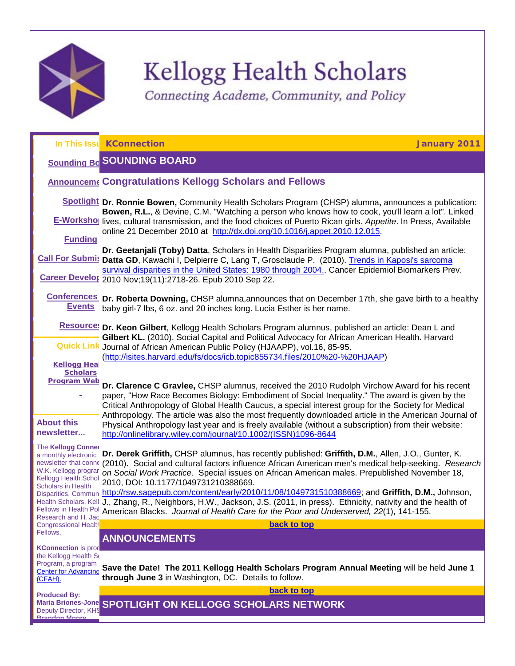

# Kellogg Health Scholars

<span id="page-0-3"></span>Connecting Academe, Community, and Policy

<span id="page-0-2"></span><span id="page-0-1"></span><span id="page-0-0"></span>

|                                                                                                                            | In This Issu KConnection<br><b>January 2011</b>                                                                                                                                                                                                                                                                                                  |
|----------------------------------------------------------------------------------------------------------------------------|--------------------------------------------------------------------------------------------------------------------------------------------------------------------------------------------------------------------------------------------------------------------------------------------------------------------------------------------------|
|                                                                                                                            | <b>Sounding Bc SOUNDING BOARD</b>                                                                                                                                                                                                                                                                                                                |
|                                                                                                                            | <b>Announceme Congratulations Kellogg Scholars and Fellows</b>                                                                                                                                                                                                                                                                                   |
|                                                                                                                            | Spotlight Dr. Ronnie Bowen, Community Health Scholars Program (CHSP) alumna, announces a publication:<br>Bowen, R.L., & Devine, C.M. "Watching a person who knows how to cook, you'll learn a lot". Linked                                                                                                                                       |
|                                                                                                                            | <b>E-Worksho</b> lives, cultural transmission, and the food choices of Puerto Rican girls. Appetite. In Press, Available<br>online 21 December 2010 at http://dx.doi.org/10.1016/j.appet.2010.12.015.                                                                                                                                            |
| <b>Funding</b>                                                                                                             | Dr. Geetanjali (Toby) Datta, Scholars in Health Disparities Program alumna, published an article:                                                                                                                                                                                                                                                |
|                                                                                                                            | Call For Submis Datta GD, Kawachi I, Delpierre C, Lang T, Grosclaude P. (2010). Trends in Kaposi's sarcoma<br>survival disparities in the United States: 1980 through 2004. Cancer Epidemiol Biomarkers Prev.                                                                                                                                    |
|                                                                                                                            | Career Develor 2010 Nov; 19(11): 2718-26. Epub 2010 Sep 22.                                                                                                                                                                                                                                                                                      |
| <b>Events</b>                                                                                                              | Conferences Dr. Roberta Downing, CHSP alumna, announces that on December 17th, she gave birth to a healthy<br>baby girl-7 lbs, 6 oz. and 20 inches long. Lucia Esther is her name.                                                                                                                                                               |
|                                                                                                                            | Resource! Dr. Keon Gilbert, Kellogg Health Scholars Program alumnus, published an article: Dean L and<br>Gilbert KL. (2010). Social Capital and Political Advocacy for African American Health. Harvard                                                                                                                                          |
|                                                                                                                            | <b>Quick Link</b> Journal of African American Public Policy (HJAAPP), vol.16, 85-95.<br>(http://isites.harvard.edu/fs/docs/icb.topic855734.files/2010%20-%20HJAAP)                                                                                                                                                                               |
| <b>Kellogg Hea</b><br><b>Scholars</b>                                                                                      |                                                                                                                                                                                                                                                                                                                                                  |
| <b>Program Web</b>                                                                                                         | Dr. Clarence C Gravlee, CHSP alumnus, received the 2010 Rudolph Virchow Award for his recent<br>paper, "How Race Becomes Biology: Embodiment of Social Inequality." The award is given by the<br>Critical Anthropology of Global Health Caucus, a special interest group for the Society for Medical                                             |
| <b>About this</b><br>newsletter                                                                                            | Anthropology. The article was also the most frequently downloaded article in the American Journal of<br>Physical Anthropology last year and is freely available (without a subscription) from their website:<br>http://onlinelibrary.wiley.com/journal/10.1002/(ISSN)1096-8644                                                                   |
| The Kellogg Conner<br>a monthly electronic<br>newsletter that conne<br>W.K. Kellogg prograr<br><b>Kellogg Health Schol</b> | Dr. Derek Griffith, CHSP alumnus, has recently published: Griffith, D.M., Allen, J.O., Gunter, K.<br>(2010). Social and cultural factors influence African American men's medical help-seeking. Research<br>on Social Work Practice. Special issues on African American males. Prepublished November 18,<br>2010, DOI: 10.1177/1049731210388669. |
| <b>Scholars in Health</b><br>Disparities, Commun<br>Research and H. Jac                                                    | http://rsw.sagepub.com/content/early/2010/11/08/1049731510388669; and Griffith, D.M., Johnson,<br>Health Scholars, Kell J., Zhang, R., Neighbors, H.W., Jackson, J.S. (2011, in press). Ethnicity, nativity and the health of<br>Fellows in Health Pol American Blacks. Journal of Health Care for the Poor and Underserved, 22(1), 141-155.     |
| <b>Congressional Health</b><br>Fellows.                                                                                    | back to top                                                                                                                                                                                                                                                                                                                                      |
| <b>KConnection</b> is prod                                                                                                 | <b>ANNOUNCEMENTS</b>                                                                                                                                                                                                                                                                                                                             |
| the Kellogg Health So<br>Program, a program<br><b>Center for Advancing</b><br>(CFAH).                                      | Save the Date! The 2011 Kellogg Health Scholars Program Annual Meeting will be held June 1<br>through June 3 in Washington, DC. Details to follow.                                                                                                                                                                                               |
| <b>Produced By:</b>                                                                                                        | back to top                                                                                                                                                                                                                                                                                                                                      |
| Deputy Director, KHS<br><b>Rrandon Moore</b>                                                                               | Maria Briones-Jone SPOTLIGHT ON KELLOGG SCHOLARS NETWORK                                                                                                                                                                                                                                                                                         |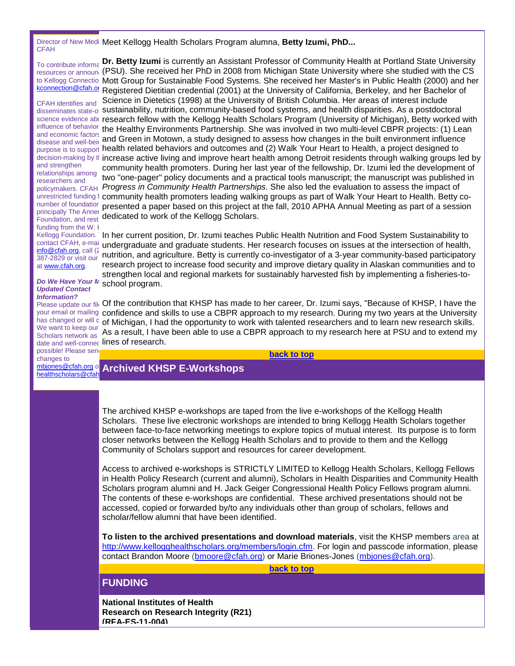Director of New Medi **Meet Kellogg Health Scholars Program alumna, Betty Izumi, PhD... CFAH** 

To contribute information kconnection@cfah.org

CFAH identifies and and economic factors disease and well-beir and strengthen relationships among researchers and number of foundation principally The Anner Foundation, and rest funding from the W.  $\mathsf{I}$ Kellogg Foundation. [info@cfah.org,](mailto:info@cfah.org) call (2 387-2829 or visit our at [www.cfah.org.](http://r20.rs6.net/tn.jsp?llr=5gytkqcab&et=1104246531930&s=1&e=001o4BZjU-uAY5mKESU5gXfzf4GDnGG2H8f5dvTEe20NIHm3XepPMozPHztfTP5H6Odo7G39CjOqZn2VCt7K26EQEP8YgK5PBO9zdZ-2Y2nMPk=)

*Do We Have Your M Updated Contact Information?*

We want to keep our Scholars network as possible! Please send changes to

healthscholars@cfah

 $_{\rm resources\,or\,announ}$  (PSU). She received her PhD in 2008 from Michigan State University where she studied with the CS to Kellogg Connectio Mott Group for Sustainable Food Systems. She received her Master's in Public Health (2000) and her **Dr. Betty Izumi** is currently an Assistant Professor of Community Health at Portland State University Registered Dietitian credential (2001) at the University of California, Berkeley, and her Bachelor of

disseminates state-ol **sustainability, nutrition, community-based food systems, and health disparities. As a postdoctoral** science evidence abd **research fellow with the Kellogg Health Scholars Program (University of Michigan), Betty worked with** influence of behavior, the Healthy Environments Partnership. She was involved in two multi-level CBPR projects: (1) Lean purpose is to support health related behaviors and outcomes and (2) Walk Your Heart to Health, a project designed to decision-making by tl **increase active living and improve heart health among Detroit residents through walking groups led by** <sub>policymakers. СFAH *Progress in Community Health Partnerships.* She also led the evaluation to assess the impact of</sub> unrestricted funding f **community health promoters leading walking groups as part of Walk Your Heart to Health. Betty co-**Science in Dietetics (1998) at the University of British Columbia. Her areas of interest include and Green in Motown, a study designed to assess how changes in the built environment influence community health promoters. During her last year of the fellowship, Dr. Izumi led the development of two "one-pager" policy documents and a practical tools manuscript; the manuscript was published in presented a paper based on this project at the fall, 2010 APHA Annual Meeting as part of a session dedicated to work of the Kellogg Scholars.

contact CFAH, e-mail undergraduate and graduate students. Her research focuses on issues at the intersection of health, In her current position, Dr. Izumi teaches Public Health Nutrition and Food System Sustainability to nutrition, and agriculture. Betty is currently co-investigator of a 3-year community-based participatory research project to increase food security and improve dietary quality in Alaskan communities and to strengthen local and regional markets for sustainably harvested fish by implementing a fisheries-toschool program.

Please update our file Of the contribution that KHSP has made to her career, Dr. Izumi says, "Because of KHSP, I have the your email or mailing confidence and skills to use a CBPR approach to my research. During my two years at the University has changed or will c of Michigan, I had the opportunity to work with talented researchers and to learn new research skills. date and well-connec **lines of research.** As a result, I have been able to use a CBPR approach to my research here at PSU and to extend my

**[back to top](#page-0-3)**

# [mbjones@cfah.org](mailto:mbjones@cfah.org) or **Archived KHSP E-Workshops**

<span id="page-1-0"></span>The archived KHSP e-workshops are taped from the live e-workshops of the Kellogg Health Scholars. These live electronic workshops are intended to bring Kellogg Health Scholars together between face-to-face networking meetings to explore topics of mutual interest. Its purpose is to form closer networks between the Kellogg Health Scholars and to provide to them and the Kellogg Community of Scholars support and resources for career development.

Access to archived e-workshops is STRICTLY LIMITED to Kellogg Health Scholars, Kellogg Fellows in Health Policy Research (current and alumni), Scholars in Health Disparities and Community Health Scholars program alumni and H. Jack Geiger Congressional Health Policy Fellows program alumni. The contents of these e-workshops are confidential. These archived presentations should not be accessed, copied or forwarded by/to any individuals other than group of scholars, fellows and scholar/fellow alumni that have been identified.

**To listen to the archived presentations and download materials**, visit the KHSP members area at [http://www.kellogghealthscholars.org/members/login.cfm.](http://r20.rs6.net/tn.jsp?llr=5gytkqcab&et=1104246531930&s=1&e=001o4BZjU-uAY4USRBmKDz6UVWFxZ8cuKj6aK5JJX4wbc-z2bJCH159AkavIsgoI7S45Tpqjz0fzA4cgqPbym_AenRp-YDwuNFBaKhCeRG2RBUqCQ60BYceIUjXTM8lSeZJwn42ropibSzCAfWdgkZdTA==) For login and passcode information, please contact Brandon Moore [\(bmoore@cfah.org\)](mailto:bmoore@cfah.org) or Marie Briones-Jones [\(mbjones@cfah.org\)](mailto:mbjones@cfah.org).

**[back to top](#page-0-3)**

# <span id="page-1-1"></span>**FUNDING**

**National Institutes of Health Research on Research Integrity (R21) (RFA-ES-11-004)**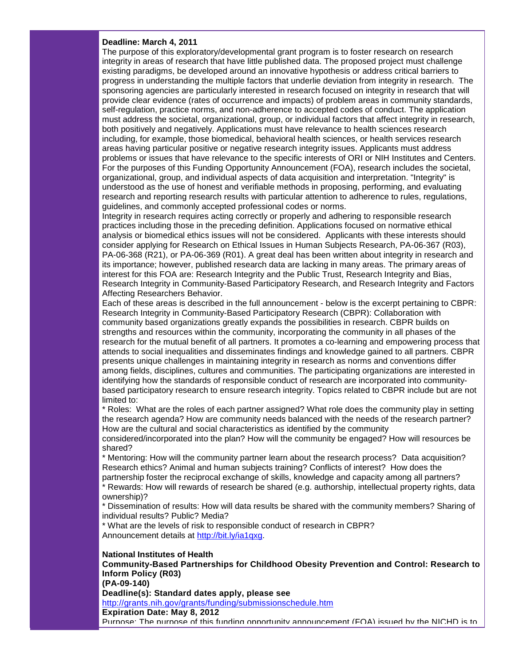#### **Deadline: March 4, 2011**

The purpose of this exploratory/developmental grant program is to foster research on research integrity in areas of research that have little published data. The proposed project must challenge existing paradigms, be developed around an innovative hypothesis or address critical barriers to progress in understanding the multiple factors that underlie deviation from integrity in research. The sponsoring agencies are particularly interested in research focused on integrity in research that will provide clear evidence (rates of occurrence and impacts) of problem areas in community standards, self-regulation, practice norms, and non-adherence to accepted codes of conduct. The application must address the societal, organizational, group, or individual factors that affect integrity in research, both positively and negatively. Applications must have relevance to health sciences research including, for example, those biomedical, behavioral health sciences, or health services research areas having particular positive or negative research integrity issues. Applicants must address problems or issues that have relevance to the specific interests of ORI or NIH Institutes and Centers. For the purposes of this Funding Opportunity Announcement (FOA), research includes the societal, organizational, group, and individual aspects of data acquisition and interpretation. "Integrity" is understood as the use of honest and verifiable methods in proposing, performing, and evaluating research and reporting research results with particular attention to adherence to rules, regulations, guidelines, and commonly accepted professional codes or norms.

Integrity in research requires acting correctly or properly and adhering to responsible research practices including those in the preceding definition. Applications focused on normative ethical analysis or biomedical ethics issues will not be considered. Applicants with these interests should consider applying for Research on Ethical Issues in Human Subjects Research, PA-06-367 (R03), PA-06-368 (R21), or PA-06-369 (R01). A great deal has been written about integrity in research and its importance; however, published research data are lacking in many areas. The primary areas of interest for this FOA are: Research Integrity and the Public Trust, Research Integrity and Bias, Research Integrity in Community-Based Participatory Research, and Research Integrity and Factors Affecting Researchers Behavior.

Each of these areas is described in the full announcement - below is the excerpt pertaining to CBPR: Research Integrity in Community-Based Participatory Research (CBPR): Collaboration with community based organizations greatly expands the possibilities in research. CBPR builds on strengths and resources within the community, incorporating the community in all phases of the research for the mutual benefit of all partners. It promotes a co-learning and empowering process that attends to social inequalities and disseminates findings and knowledge gained to all partners. CBPR presents unique challenges in maintaining integrity in research as norms and conventions differ among fields, disciplines, cultures and communities. The participating organizations are interested in identifying how the standards of responsible conduct of research are incorporated into communitybased participatory research to ensure research integrity. Topics related to CBPR include but are not limited to:

\* Roles: What are the roles of each partner assigned? What role does the community play in setting the research agenda? How are community needs balanced with the needs of the research partner? How are the cultural and social characteristics as identified by the community

considered/incorporated into the plan? How will the community be engaged? How will resources be shared?

\* Mentoring: How will the community partner learn about the research process? Data acquisition? Research ethics? Animal and human subjects training? Conflicts of interest? How does the partnership foster the reciprocal exchange of skills, knowledge and capacity among all partners?

\* Rewards: How will rewards of research be shared (e.g. authorship, intellectual property rights, data ownership)?

\* Dissemination of results: How will data results be shared with the community members? Sharing of individual results? Public? Media?

\* What are the levels of risk to responsible conduct of research in CBPR? Announcement details at [http://bit.ly/ia1qxg.](http://r20.rs6.net/tn.jsp?llr=5gytkqcab&et=1104246531930&s=1&e=001o4BZjU-uAY6Hmj25TS48WOTYIbFiNsp78bvzJmABSoOt2hOoueLpf8MqAGp9Pj5X4xPeO0CrS3KQbFg9Prybc-0R7mxWjLZjqYYT5wWn7XA=)

#### **National Institutes of Health**

**Community-Based Partnerships for Childhood Obesity Prevention and Control: Research to Inform Policy (R03)**

**(PA-09-140)**

**Deadline(s): Standard dates apply, please see**

[http://grants.nih.gov/grants/funding/submissionschedule.htm](http://r20.rs6.net/tn.jsp?llr=5gytkqcab&et=1104246531930&s=1&e=001o4BZjU-uAY7xZzztEqMt6Vfqu15hUbUlqYiq0wRpEHyrZqpIrOyBgiR5c1YL3LrVYegk1jJ2gyzQU7SxmOw2Kp12irB5uZ1tpj_vjzDmxyU8XyEZiDdzWhtE6QarVcSebRqSgyN1Ks99Y648OhAnLNRWI-nXWxg2) **Expiration Date: May 8, 2012** Purpose: The purpose of this funding opportunity announcement (FOA) issued by the NICHD is to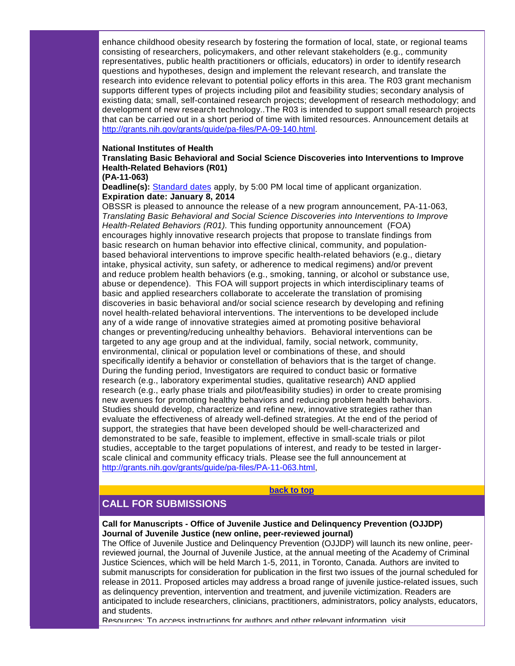enhance childhood obesity research by fostering the formation of local, state, or regional teams consisting of researchers, policymakers, and other relevant stakeholders (e.g., community representatives, public health practitioners or officials, educators) in order to identify research questions and hypotheses, design and implement the relevant research, and translate the research into evidence relevant to potential policy efforts in this area. The R03 grant mechanism supports different types of projects including pilot and feasibility studies; secondary analysis of existing data; small, self-contained research projects; development of research methodology; and development of new research technology..The R03 is intended to support small research projects that can be carried out in a short period of time with limited resources. Announcement details at [http://grants.nih.gov/grants/guide/pa-files/PA-09-140.html.](http://r20.rs6.net/tn.jsp?llr=5gytkqcab&et=1104246531930&s=1&e=001o4BZjU-uAY6Zke1TmHNnLlOXVUh2CB4T9GLhPPG4wDKA_Jlae7wQbTvME97fO_KBxH240tnnhGOnXcrl954ngmJza8JUo0l7u8e_426mYkHgz0YzoZwceAtsEe7N9GMLLxKxtRg6OTbwLpOmU48YWdmZ253HOVY4)

#### **National Institutes of Health**

**Translating Basic Behavioral and Social Science Discoveries into Interventions to Improve Health-Related Behaviors (R01)**

#### **(PA-11-063)**

**Deadline(s):** [Standard dates](http://r20.rs6.net/tn.jsp?llr=5gytkqcab&et=1104246531930&s=1&e=001o4BZjU-uAY4_WrQimLShV_sSO23OVCHH86xNf6MblrEuMEPHSWE4z6GGqtQu9DeyDqwfFFm69sN7ovsrc7X7q4Xx7KFZ7WFFXFoqoq5u4qB_AXaxvK6Auld0ewpZZAkU6bDkwc0smu_5Hi0ybuhCZMiVna2dENRqq3DMHX0OzdY=) apply, by 5:00 PM local time of applicant organization. **Expiration date: January 8, 2014**

OBSSR is pleased to announce the release of a new program announcement, PA-11-063, *Translating Basic Behavioral and Social Science Discoveries into Interventions to Improve Health-Related Behaviors (R01).* This funding opportunity announcement (FOA) encourages highly innovative research projects that propose to translate findings from basic research on human behavior into effective clinical, community, and populationbased behavioral interventions to improve specific health-related behaviors (e.g., dietary intake, physical activity, sun safety, or adherence to medical regimens) and/or prevent and reduce problem health behaviors (e.g., smoking, tanning, or alcohol or substance use, abuse or dependence). This FOA will support projects in which interdisciplinary teams of basic and applied researchers collaborate to accelerate the translation of promising discoveries in basic behavioral and/or social science research by developing and refining novel health-related behavioral interventions. The interventions to be developed include any of a wide range of innovative strategies aimed at promoting positive behavioral changes or preventing/reducing unhealthy behaviors. Behavioral interventions can be targeted to any age group and at the individual, family, social network, community, environmental, clinical or population level or combinations of these, and should specifically identify a behavior or constellation of behaviors that is the target of change. During the funding period, Investigators are required to conduct basic or formative research (e.g., laboratory experimental studies, qualitative research) AND applied research (e.g., early phase trials and pilot/feasibility studies) in order to create promising new avenues for promoting healthy behaviors and reducing problem health behaviors. Studies should develop, characterize and refine new, innovative strategies rather than evaluate the effectiveness of already well-defined strategies. At the end of the period of support, the strategies that have been developed should be well-characterized and demonstrated to be safe, feasible to implement, effective in small-scale trials or pilot studies, acceptable to the target populations of interest, and ready to be tested in largerscale clinical and community efficacy trials. Please see the full announcement at [http://grants.nih.gov/grants/guide/pa-files/PA-11-063.html,](http://r20.rs6.net/tn.jsp?llr=5gytkqcab&et=1104246531930&s=1&e=001o4BZjU-uAY6gdOQjHTxQ2dO71XdeQ4EqdEU0Jt0FHXCreSnsp3koMaJh8ykC5njsmN-CChmh7PqJhB3E3XdS6IuDbpsHFoVtZEwT-NqMH1rlNk314YCdfUK8yurOcweJV6miW4VoX1U5XdrTYaKcneQY-GfDeGKy)

#### **[back to top](#page-0-3)**

# <span id="page-3-0"></span>**CALL FOR SUBMISSIONS**

**Call for Manuscripts - Office of Juvenile Justice and Delinquency Prevention (OJJDP) Journal of Juvenile Justice (new online, peer-reviewed journal)**

The Office of Juvenile Justice and Delinquency Prevention (OJJDP) will launch its new online, peerreviewed journal, the Journal of Juvenile Justice, at the annual meeting of the Academy of Criminal Justice Sciences, which will be held March 1-5, 2011, in Toronto, Canada. Authors are invited to submit manuscripts for consideration for publication in the first two issues of the journal scheduled for release in 2011. Proposed articles may address a broad range of juvenile justice-related issues, such as delinquency prevention, intervention and treatment, and juvenile victimization. Readers are anticipated to include researchers, clinicians, practitioners, administrators, policy analysts, educators, and students.

Resources: To access instructions for authors and other relevant information, visit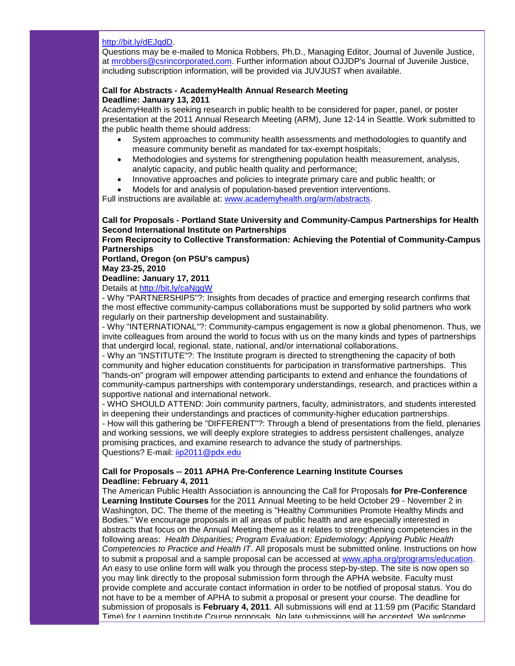#### [http://bit.ly/dEJqdD.](http://r20.rs6.net/tn.jsp?llr=5gytkqcab&et=1104246531930&s=1&e=001o4BZjU-uAY7O8DQw54w4hzTem2w-pGV2WyYOUeqjZTWktfWWmwlhat3XJClhg1jzQBAEe54ozgvSCOiZwIA5MWLyy5AJ3ylDWUV10WVh-Xo=)

Questions may be e-mailed to Monica Robbers, Ph.D., Managing Editor, Journal of Juvenile Justice, at [mrobbers@csrincorporated.com.](mailto:mrobbers@csrincorporated.com) Further information about OJJDP's Journal of Juvenile Justice, including subscription information, will be provided via JUVJUST when available.

#### **Call for Abstracts - AcademyHealth Annual Research Meeting Deadline: January 13, 2011**

AcademyHealth is seeking research in public health to be considered for paper, panel, or poster presentation at the 2011 Annual Research Meeting (ARM), June 12-14 in Seattle. Work submitted to the public health theme should address:

- System approaches to community health assessments and methodologies to quantify and measure community benefit as mandated for tax-exempt hospitals;
- Methodologies and systems for strengthening population health measurement, analysis, analytic capacity, and public health quality and performance;
- Innovative approaches and policies to integrate primary care and public health; or
- Models for and analysis of population-based prevention interventions.

Full instructions are available at: [www.academyhealth.org/arm/abstracts.](http://r20.rs6.net/tn.jsp?llr=5gytkqcab&et=1104246531930&s=1&e=001o4BZjU-uAY5CKIoWPDHn3SP_BahBn6-rTxXj8k9nhVdW633OqH6Vl9kJGj0A3IWm0Vgi6bgr6-v0qiS6I1capnRA5JUZXTyDU4DWvCRXiKgzzokS-NbBr-wneHvcM20zUd0LM00ZCXU=)

# **Call for Proposals - Portland State University and Community-Campus Partnerships for Health Second International Institute on Partnerships**

**From Reciprocity to Collective Transformation: Achieving the Potential of Community-Campus Partnerships**

#### **Portland, Oregon (on PSU's campus) May 23-25, 2010**

#### **Deadline: January 17, 2011**

Details at [http://bit.ly/caNqqW](http://r20.rs6.net/tn.jsp?llr=5gytkqcab&et=1104246531930&s=1&e=001o4BZjU-uAY5WvvSvYUkEj0Cyxn3ZQceXW3fmIfsi-zm-Jxb-mm6bH3fdMLGnP3X8KIOx45d2mrG1WbUIUNKrj-xDpNyU6vzu0a5Imdodk9Q=)

- Why "PARTNERSHIPS"?: Insights from decades of practice and emerging research confirms that the most effective community-campus collaborations must be supported by solid partners who work regularly on their partnership development and sustainability.

- Why "INTERNATIONAL"?: Community-campus engagement is now a global phenomenon. Thus, we invite colleagues from around the world to focus with us on the many kinds and types of partnerships that undergird local, regional, state, national, and/or international collaborations.

- Why an "INSTITUTE"?: The Institute program is directed to strengthening the capacity of both community and higher education constituents for participation in transformative partnerships. This "hands-on" program will empower attending participants to extend and enhance the foundations of community-campus partnerships with contemporary understandings, research, and practices within a supportive national and international network.

- WHO SHOULD ATTEND: Join community partners, faculty, administrators, and students interested in deepening their understandings and practices of community-higher education partnerships.

- How will this gathering be "DIFFERENT"?: Through a blend of presentations from the field, plenaries and working sessions, we will deeply explore strategies to address persistent challenges, analyze promising practices, and examine research to advance the study of partnerships. Questions? E-mail: [iip2011@pdx.edu](mailto:iip2011@pdx.edu)

## **Call for Proposals -- 2011 APHA Pre-Conference Learning Institute Courses Deadline: February 4, 2011**

The American Public Health Association is announcing the Call for Proposals **for Pre-Conference Learning Institute Courses** for the 2011 Annual Meeting to be held October 29 - November 2 in Washington, DC. The theme of the meeting is "Healthy Communities Promote Healthy Minds and Bodies." We encourage proposals in all areas of public health and are especially interested in abstracts that focus on the Annual Meeting theme as it relates to strengthening competencies in the following areas: *Health Disparities; Program Evaluation; Epidemiology; Applying Public Health Competencies to Practice and Health IT*. All proposals must be submitted online. Instructions on how to submit a proposal and a sample proposal can be accessed at [www.apha.org/programs/education.](http://r20.rs6.net/tn.jsp?llr=5gytkqcab&et=1104246531930&s=1&e=001o4BZjU-uAY79bCLIburYe1XUs-nOcAzpL8RFjBBMksBt75-nR2YHhvjhFCEepocMjIstndsLfNaOM43tz-FO6z6aavGSaFxmcdQYuv9R8kKAh8vL01C4nhYr1RlNkM42qG1Etnjw8dOXeyEwvrq23RQx3SJOzusR) An easy to use online form will walk you through the process step-by-step. The site is now open so you may link directly to the proposal submission form through the APHA website. Faculty must provide complete and accurate contact information in order to be notified of proposal status. You do not have to be a member of APHA to submit a proposal or present your course. The deadline for submission of proposals is **February 4, 2011**. All submissions will end at 11:59 pm (Pacific Standard Time) for Learning Institute Course proposals. No late submissions will be accepted. We welcome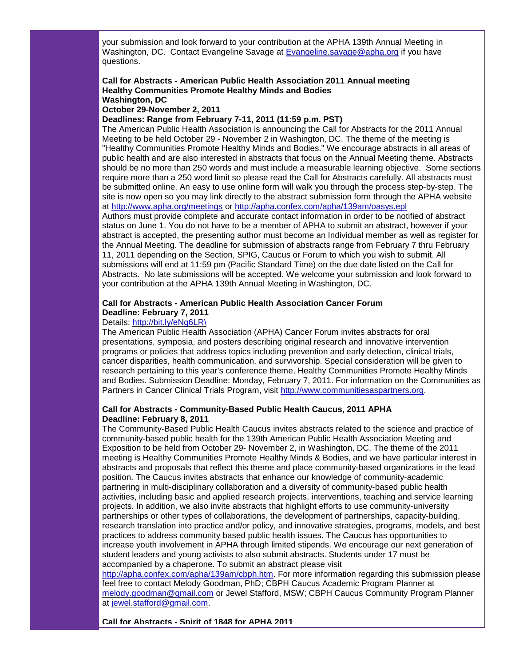your submission and look forward to your contribution at the APHA 139th Annual Meeting in Washington, DC. Contact Evangeline Savage at [Evangeline.savage@apha.org](mailto:Evangeline.savage@apha.org) if you have questions.

#### **Call for Abstracts - American Public Health Association 2011 Annual meeting Healthy Communities Promote Healthy Minds and Bodies Washington, DC**

**October 29-November 2, 2011**

**Deadlines: Range from February 7-11, 2011 (11:59 p.m. PST)**

The American Public Health Association is announcing the Call for Abstracts for the 2011 Annual Meeting to be held October 29 - November 2 in Washington, DC. The theme of the meeting is "Healthy Communities Promote Healthy Minds and Bodies." We encourage abstracts in all areas of public health and are also interested in abstracts that focus on the Annual Meeting theme. Abstracts should be no more than 250 words and must include a measurable learning objective. Some sections require more than a 250 word limit so please read the Call for Abstracts carefully. All abstracts must be submitted online. An easy to use online form will walk you through the process step-by-step. The site is now open so you may link directly to the abstract submission form through the APHA website at [http://www.apha.org/meetings](http://r20.rs6.net/tn.jsp?llr=5gytkqcab&et=1104246531930&s=1&e=001o4BZjU-uAY5J0s5vBu1k1qSPsGYMaORoZJKaLaWMDRFY8_8TPFds-Nf7C5Tfyn-NeOYaLEc3__lacLCpE1su3pHWMkJsBxXomSjKWgcKW9zJYfBILbkoa7D_eTG9mFCphi3S6e99zWWZ7yNXouFXJMnff6clOdha) or [http://apha.confex.com/apha/139am/oasys.epl](http://r20.rs6.net/tn.jsp?llr=5gytkqcab&et=1104246531930&s=1&e=001o4BZjU-uAY4Phh9SOD3ngKoPyGh-E0XcRDZvpH13p9a8QSpkRBADIRVvifdrtGbgzrRzPFm4SzFynykwUmo4kspmJn9MMqTHMEHbxSbm_5a9iXSyNWjSlRUdRJ_9zZb9LVGjjmcHkfF0DN-_DZq9VX_t2rNNoxsL)

Authors must provide complete and accurate contact information in order to be notified of abstract status on June 1. You do not have to be a member of APHA to submit an abstract, however if your abstract is accepted, the presenting author must become an Individual member as well as register for the Annual Meeting. The deadline for submission of abstracts range from February 7 thru February 11, 2011 depending on the Section, SPIG, Caucus or Forum to which you wish to submit. All submissions will end at 11:59 pm (Pacific Standard Time) on the due date listed on the Call for Abstracts. No late submissions will be accepted. We welcome your submission and look forward to your contribution at the APHA 139th Annual Meeting in Washington, DC.

# **Call for Abstracts - American Public Health Association Cancer Forum Deadline: February 7, 2011**

#### Details: [http://bit.ly/eNg6LR\](http://r20.rs6.net/tn.jsp?llr=5gytkqcab&et=1104246531930&s=1&e=001o4BZjU-uAY54dui5DpPaISivzhMZ6a_e494EzSob7IQU1c-cFuVP8MZCErCta89a_PMSEY2646U8LqCAiW7IB0Fmxz3_hPITtbnwvztPLnk=)

The American Public Health Association (APHA) Cancer Forum invites abstracts for oral presentations, symposia, and posters describing original research and innovative intervention programs or policies that address topics including prevention and early detection, clinical trials, cancer disparities, health communication, and survivorship. Special consideration will be given to research pertaining to this year's conference theme, Healthy Communities Promote Healthy Minds and Bodies. Submission Deadline: Monday, February 7, 2011. For information on the Communities as Partners in Cancer Clinical Trials Program, visit [http://www.communitiesaspartners.org.](http://r20.rs6.net/tn.jsp?llr=5gytkqcab&et=1104246531930&s=1&e=001o4BZjU-uAY7fQ4R7CvLEiJE7PaxdzajCpBfLEccPHJhIGwEJQw1bGX2gGc4xCnlPzltg6TbeonqHqpeOo0IblFlf62wEymooKrUEQUy5bbNQ3w1jgBoBQgNACN7Q7ORM)

#### **Call for Abstracts - Community-Based Public Health Caucus, 2011 APHA Deadline: February 8, 2011**

The Community-Based Public Health Caucus invites abstracts related to the science and practice of community-based public health for the 139th American Public Health Association Meeting and Exposition to be held from October 29- November 2, in Washington, DC. The theme of the 2011 meeting is Healthy Communities Promote Healthy Minds & Bodies, and we have particular interest in abstracts and proposals that reflect this theme and place community-based organizations in the lead position. The Caucus invites abstracts that enhance our knowledge of community-academic partnering in multi-disciplinary collaboration and a diversity of community-based public health activities, including basic and applied research projects, interventions, teaching and service learning projects. In addition, we also invite abstracts that highlight efforts to use community-university partnerships or other types of collaborations, the development of partnerships, capacity-building, research translation into practice and/or policy, and innovative strategies, programs, models, and best practices to address community based public health issues. The Caucus has opportunities to increase youth involvement in APHA through limited stipends. We encourage our next generation of student leaders and young activists to also submit abstracts. Students under 17 must be accompanied by a chaperone. To submit an abstract please visit

[http://apha.confex.com/apha/139am/cbph.htm.](http://r20.rs6.net/tn.jsp?llr=5gytkqcab&et=1104246531930&s=1&e=001o4BZjU-uAY4Mp4IKsL9HCMtwHlCCDKFWK3bejqv8x6UT_LQjWgoIJQl30iDSHYLyea_qnWFBhpKQ1q2u_8B9VlfWy12LQwLBBPg7hvXKCQMtY39q21NoMOjAWaJHZqKFWkOqx0VkMgg=) For more information regarding this submission please feel free to contact Melody Goodman, PhD; CBPH Caucus Academic Program Planner at [melody.goodman@gmail.com](mailto:melody.goodman@gmail.com) or Jewel Stafford, MSW; CBPH Caucus Community Program Planner at [jewel.stafford@gmail.com.](mailto:jewel.stafford@gmail.com)

**Call for Abstracts - Spirit of 1848 for APHA 2011**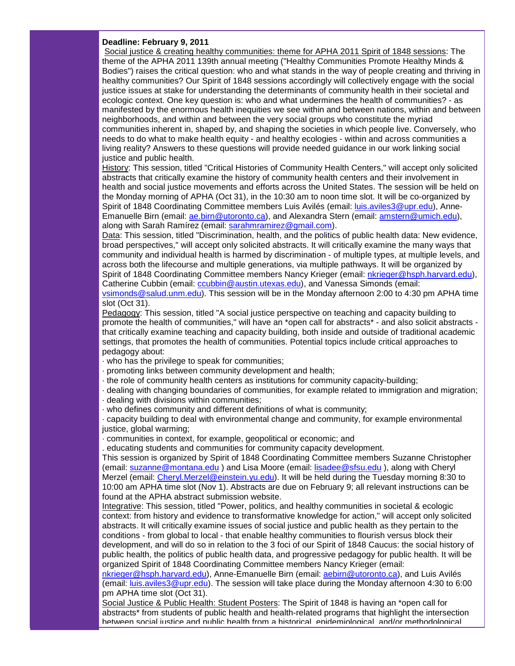#### **Deadline: February 9, 2011**

Social justice & creating healthy communities: theme for APHA 2011 Spirit of 1848 sessions: The theme of the APHA 2011 139th annual meeting ("Healthy Communities Promote Healthy Minds & Bodies") raises the critical question: who and what stands in the way of people creating and thriving in healthy communities? Our Spirit of 1848 sessions accordingly will collectively engage with the social justice issues at stake for understanding the determinants of community health in their societal and ecologic context. One key question is: who and what undermines the health of communities? - as manifested by the enormous health inequities we see within and between nations, within and between neighborhoods, and within and between the very social groups who constitute the myriad communities inherent in, shaped by, and shaping the societies in which people live. Conversely, who needs to do what to make health equity - and healthy ecologies - within and across communities a living reality? Answers to these questions will provide needed guidance in our work linking social justice and public health.

History: This session, titled "Critical Histories of Community Health Centers," will accept only solicited abstracts that critically examine the history of community health centers and their involvement in health and social justice movements and efforts across the United States. The session will be held on the Monday morning of APHA (Oct 31), in the 10:30 am to noon time slot. It will be co-organized by Spirit of 1848 Coordinating Committee members Luis Avilés (email: [luis.aviles3@upr.edu\)](mailto:luis.aviles3@upr.edu), AnneEmanuelle Birn (email: [ae.birn@utoronto.ca\)](mailto:ae.birn@utoronto.ca), and Alexandra Stern (email: [amstern@umich.edu\)](mailto:amstern@umich.edu), along with Sarah Ramírez (email: [sarahmramirez@gmail.com\)](mailto:sarahmramirez@gmail.com).

Data: This session, titled "Discrimination, health, and the politics of public health data: New evidence, broad perspectives," will accept only solicited abstracts. It will critically examine the many ways that community and individual health is harmed by discrimination - of multiple types, at multiple levels, and across both the lifecourse and multiple generations, via multiple pathways. It will be organized by Spirit of 1848 Coordinating Committee members Nancy Krieger (email: [nkrieger@hsph.harvard.edu\)](mailto:nkrieger@hsph.harvard.edu), Catherine Cubbin (email: [ccubbin@austin.utexas.edu\)](mailto:ccubbin@austin.utexas.edu), and Vanessa Simonds (email:

[vsimonds@salud.unm.edu\)](mailto:vsimonds@salud.unm.edu). This session will be in the Monday afternoon 2:00 to 4:30 pm APHA time slot (Oct 31).

Pedagogy: This session, titled "A social justice perspective on teaching and capacity building to promote the health of communities," will have an \*open call for abstracts\* - and also solicit abstracts that critically examine teaching and capacity building, both inside and outside of traditional academic settings, that promotes the health of communities. Potential topics include critical approaches to pedagogy about:

· who has the privilege to speak for communities;

- · promoting links between community development and health;
- · the role of community health centers as institutions for community capacity-building;

· dealing with changing boundaries of communities, for example related to immigration and migration;

· dealing with divisions within communities;

· who defines community and different definitions of what is community;

· capacity building to deal with environmental change and community, for example environmental justice, global warming;

· communities in context, for example, geopolitical or economic; and

. educating students and communities for community capacity development.

This session is organized by Spirit of 1848 Coordinating Committee members Suzanne Christopher (email: [suzanne@montana.edu](mailto:suzanne@montana.edu)) and Lisa Moore (email: [lisadee@sfsu.edu](mailto:lisadee@sfsu.edu)), along with Cheryl Merzel (email: [Cheryl.Merzel@einstein.yu.edu\)](mailto:Cheryl.Merzel@einstein.yu.edu). It will be held during the Tuesday morning 8:30 to 10:00 am APHA time slot (Nov 1). Abstracts are due on February 9; all relevant instructions can be found at the APHA abstract submission website.

Integrative: This session, titled "Power, politics, and healthy communities in societal & ecologic context: from history and evidence to transformative knowledge for action," will accept only solicited abstracts. It will critically examine issues of social justice and public health as they pertain to the conditions - from global to local - that enable healthy communities to flourish versus block their development, and will do so in relation to the 3 foci of our Spirit of 1848 Caucus: the social history of public health, the politics of public health data, and progressive pedagogy for public health. It will be organized Spirit of 1848 Coordinating Committee members Nancy Krieger (email:

[nkrieger@hsph.harvard.edu\)](mailto:nkrieger@hsph.harvard.edu), Anne-Emanuelle Birn (email: [aebirn@utoronto.ca\)](mailto:aebirn@utoronto.ca), and Luis Avilés (email: [luis.aviles3@upr.edu\)](mailto:luis.aviles3@upr.edu). The session will take place during the Monday afternoon 4:30 to 6:00 pm APHA time slot (Oct 31).

Social Justice & Public Health: Student Posters: The Spirit of 1848 is having an \*open call for abstracts\* from students of public health and health-related programs that highlight the intersection between social justice and public health from a historical, epidemiological, and/or methodological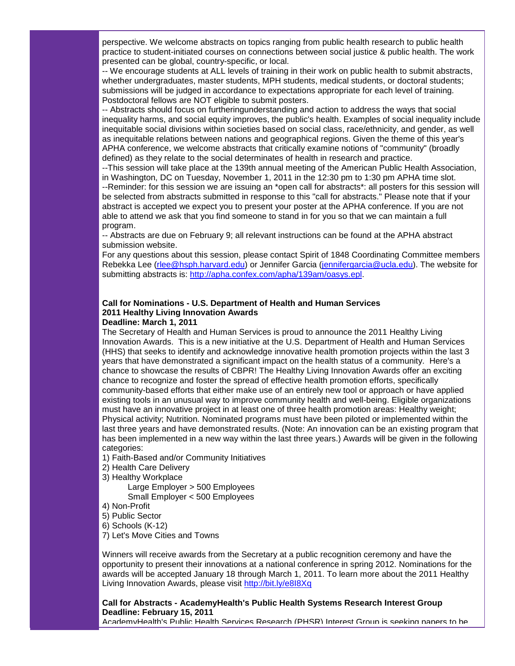perspective. We welcome abstracts on topics ranging from public health research to public health practice to student-initiated courses on connections between social justice & public health. The work presented can be global, country-specific, or local.

-- We encourage students at ALL levels of training in their work on public health to submit abstracts, whether undergraduates, master students, MPH students, medical students, or doctoral students; submissions will be judged in accordance to expectations appropriate for each level of training. Postdoctoral fellows are NOT eligible to submit posters.

-- Abstracts should focus on furtheringunderstanding and action to address the ways that social inequality harms, and social equity improves, the public's health. Examples of social inequality include inequitable social divisions within societies based on social class, race/ethnicity, and gender, as well as inequitable relations between nations and geographical regions. Given the theme of this year's APHA conference, we welcome abstracts that critically examine notions of "community" (broadly defined) as they relate to the social determinates of health in research and practice.

--This session will take place at the 139th annual meeting of the American Public Health Association, in Washington, DC on Tuesday, November 1, 2011 in the 12:30 pm to 1:30 pm APHA time slot. --Reminder: for this session we are issuing an \*open call for abstracts\*: all posters for this session will be selected from abstracts submitted in response to this "call for abstracts." Please note that if your abstract is accepted we expect you to present your poster at the APHA conference. If you are not able to attend we ask that you find someone to stand in for you so that we can maintain a full

program. -- Abstracts are due on February 9; all relevant instructions can be found at the APHA abstract submission website.

For any questions about this session, please contact Spirit of 1848 Coordinating Committee members Rebekka Lee [\(rlee@hsph.harvard.edu\)](mailto:rlee@hsph.harvard.edu) or Jennifer Garcia [\(jennifergarcia@ucla.edu\)](mailto:jennifergarcia@ucla.edu). The website for submitting abstracts is: [http://apha.confex.com/apha/139am/oasys.epl.](http://r20.rs6.net/tn.jsp?llr=5gytkqcab&et=1104246531930&s=1&e=001o4BZjU-uAY4Rz7eu8Vsy0KEpICuPZq5xDxzSdHJYkYjJlhF0NycHOcW5c3WPTtfWhULAA29P1TtbKKgFmPInpht4_r9WnC_R-p4QTZaj_8ZziQd9z1mwIKA6XzkSqWYu8mZQ8BtABko=)

#### **Call for Nominations - U.S. Department of Health and Human Services 2011 Healthy Living Innovation Awards Deadline: March 1, 2011**

The Secretary of Health and Human Services is proud to announce the 2011 Healthy Living Innovation Awards. This is a new initiative at the U.S. Department of Health and Human Services (HHS) that seeks to identify and acknowledge innovative health promotion projects within the last 3 years that have demonstrated a significant impact on the health status of a community. Here's a chance to showcase the results of CBPR! The Healthy Living Innovation Awards offer an exciting chance to recognize and foster the spread of effective health promotion efforts, specifically community-based efforts that either make use of an entirely new tool or approach or have applied existing tools in an unusual way to improve community health and well-being. Eligible organizations must have an innovative project in at least one of three health promotion areas: Healthy weight; Physical activity; Nutrition. Nominated programs must have been piloted or implemented within the last three years and have demonstrated results. (Note: An innovation can be an existing program that has been implemented in a new way within the last three years.) Awards will be given in the following categories:

- 1) Faith-Based and/or Community Initiatives
- 2) Health Care Delivery
- 3) Healthy Workplace

 Large Employer > 500 Employees Small Employer < 500 Employees

- 4) Non-Profit
- 5) Public Sector

6) Schools (K-12)

7) Let's Move Cities and Towns

Winners will receive awards from the Secretary at a public recognition ceremony and have the opportunity to present their innovations at a national conference in spring 2012. Nominations for the awards will be accepted January 18 through March 1, 2011. To learn more about the 2011 Healthy Living Innovation Awards, please visit [http://bit.ly/e8I8Xq](http://r20.rs6.net/tn.jsp?llr=5gytkqcab&et=1104246531930&s=1&e=001o4BZjU-uAY5l9EeZ95KTE0BxntCuhNcfKYKt_-T2KIObp0qpUeeYE626gskTelnkd5jOekB3Jbe5x3aX1qW6I89AgUeSFLdd7l3K0f0X8kM=)

## **Call for Abstracts - AcademyHealth's Public Health Systems Research Interest Group Deadline: February 15, 2011**

AcademyHealth's Public Health Services Research (PHSR) Interest Group is seeking papers to be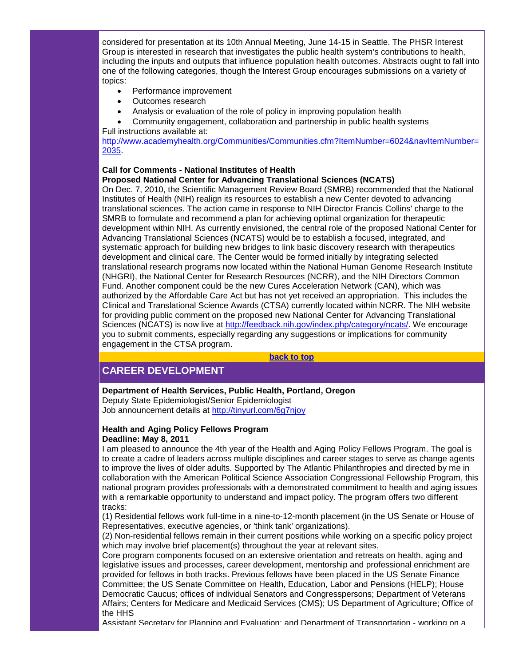considered for presentation at its 10th Annual Meeting, June 14-15 in Seattle. The PHSR Interest Group is interested in research that investigates the public health system's contributions to health, including the inputs and outputs that influence population health outcomes. Abstracts ought to fall into one of the following categories, though the Interest Group encourages submissions on a variety of topics:

- Performance improvement
- Outcomes research
- Analysis or evaluation of the role of policy in improving population health
- Community engagement, collaboration and partnership in public health systems Full instructions available at:

[http://www.academyhealth.org/Communities/Communities.cfm?ItemNumber=6024&navItemNumber=](http://r20.rs6.net/tn.jsp?llr=5gytkqcab&et=1104246531930&s=1&e=001o4BZjU-uAY7xLDx2zrnwJ7xo7FDYdPj0-lwh19I9Bgv8DyZ68x1olqY7zo9u6A9WTDgjlpHUHPSobZumvC08CP7lGyGTNN867rdGgaqi7Ffws0mjj24gWk08aJAjUWyub3dJToWA1sjvIsUggixchV15vrgGymKvYHbOarPMYw5Qw8lW8ETtpIkZtZIU_yFVysElNZu7kKk7nWVpqdZAcA==) [2035.](http://r20.rs6.net/tn.jsp?llr=5gytkqcab&et=1104246531930&s=1&e=001o4BZjU-uAY7xLDx2zrnwJ7xo7FDYdPj0-lwh19I9Bgv8DyZ68x1olqY7zo9u6A9WTDgjlpHUHPSobZumvC08CP7lGyGTNN867rdGgaqi7Ffws0mjj24gWk08aJAjUWyub3dJToWA1sjvIsUggixchV15vrgGymKvYHbOarPMYw5Qw8lW8ETtpIkZtZIU_yFVysElNZu7kKk7nWVpqdZAcA==)

#### **Call for Comments - National Institutes of Health Proposed National Center for Advancing Translational Sciences (NCATS)**

On Dec. 7, 2010, the Scientific Management Review Board (SMRB) recommended that the National Institutes of Health (NIH) realign its resources to establish a new Center devoted to advancing translational sciences. The action came in response to NIH Director Francis Collins' charge to the SMRB to formulate and recommend a plan for achieving optimal organization for therapeutic development within NIH. As currently envisioned, the central role of the proposed National Center for Advancing Translational Sciences (NCATS) would be to establish a focused, integrated, and systematic approach for building new bridges to link basic discovery research with therapeutics development and clinical care. The Center would be formed initially by integrating selected translational research programs now located within the National Human Genome Research Institute (NHGRI), the National Center for Research Resources (NCRR), and the NIH Directors Common Fund. Another component could be the new Cures Acceleration Network (CAN), which was authorized by the Affordable Care Act but has not yet received an appropriation. This includes the Clinical and Translational Science Awards (CTSA) currently located within NCRR. The NIH website for providing public comment on the proposed new National Center for Advancing Translational Sciences (NCATS) is now live at [http://feedback.nih.gov/index.php/category/ncats/.](http://r20.rs6.net/tn.jsp?llr=5gytkqcab&et=1104246531930&s=1&e=001o4BZjU-uAY5oOpsScK4rDvWt5lqjcuqF1ra8PwG9uaBbgPvo-YV20fMdnVaqrltYUZ2eDYX2gke6xcXlbh1yQGiWcKBvnOe99UrakAKStPUTWXAx15O8irmHsgUtjUta7u1_LsxXvkjFIQkiBPB4LA==) We encourage you to submit comments, especially regarding any suggestions or implications for community engagement in the CTSA program.

**[back to top](#page-0-3)**

# <span id="page-8-0"></span>**CAREER DEVELOPMENT**

#### **Department of Health Services, Public Health, Portland, Oregon**

Deputy State Epidemiologist/Senior Epidemiologist Job announcement details at [http://tinyurl.com/6g7njoy](http://r20.rs6.net/tn.jsp?llr=5gytkqcab&et=1104246531930&s=1&e=001o4BZjU-uAY5YsbVcqd5jLb6i0M0VFpZaJAOVhZerRWT5SBQKphgHbpR-tCd8LliNf5dD7AabmGmEez-X2FD3IMKMUxXvnGfOEFrcwfyCYQaJ5PerEZsnFg==)

## **Health and Aging Policy Fellows Program Deadline: May 8, 2011**

I am pleased to announce the 4th year of the Health and Aging Policy Fellows Program. The goal is to create a cadre of leaders across multiple disciplines and career stages to serve as change agents to improve the lives of older adults. Supported by The Atlantic Philanthropies and directed by me in collaboration with the American Political Science Association Congressional Fellowship Program, this national program provides professionals with a demonstrated commitment to health and aging issues with a remarkable opportunity to understand and impact policy. The program offers two different tracks:

(1) Residential fellows work full-time in a nine-to-12-month placement (in the US Senate or House of Representatives, executive agencies, or 'think tank' organizations).

(2) Non-residential fellows remain in their current positions while working on a specific policy project which may involve brief placement(s) throughout the year at relevant sites.

Core program components focused on an extensive orientation and retreats on health, aging and legislative issues and processes, career development, mentorship and professional enrichment are provided for fellows in both tracks. Previous fellows have been placed in the US Senate Finance Committee; the US Senate Committee on Health, Education, Labor and Pensions (HELP); House Democratic Caucus; offices of individual Senators and Congresspersons; Department of Veterans Affairs; Centers for Medicare and Medicaid Services (CMS); US Department of Agriculture; Office of the HHS

Assistant Secretary for Planning and Evaluation; and Department of Transportation - working on a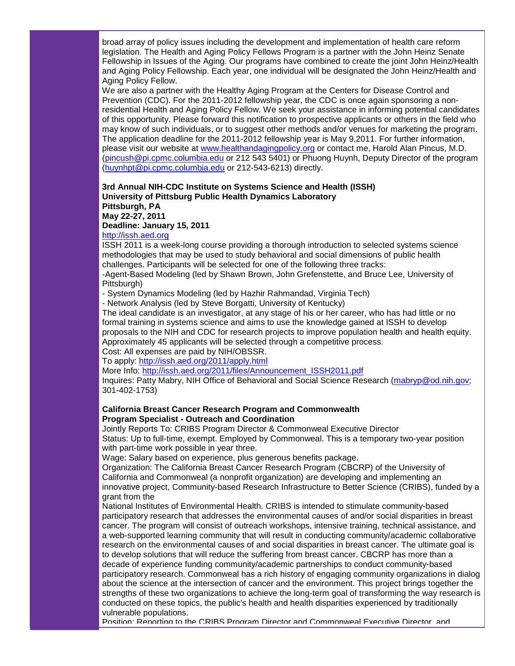broad array of policy issues including the development and implementation of health care reform legislation. The Health and Aging Policy Fellows Program is a partner with the John Heinz Senate Fellowship in Issues of the Aging. Our programs have combined to create the joint John Heinz/Health and Aging Policy Fellowship. Each year, one individual will be designated the John Heinz/Health and Aging Policy Fellow.

We are also a partner with the Healthy Aging Program at the Centers for Disease Control and Prevention (CDC). For the 2011-2012 fellowship year, the CDC is once again sponsoring a nonresidential Health and Aging Policy Fellow. We seek your assistance in informing potential candidates of this opportunity. Please forward this notification to prospective applicants or others in the field who may know of such individuals, or to suggest other methods and/or venues for marketing the program. The application deadline for the 2011-2012 fellowship year is May 9,2011. For further information, please visit our website at [www.healthandagingpolicy.org](http://r20.rs6.net/tn.jsp?llr=5gytkqcab&et=1104246531930&s=1&e=001o4BZjU-uAY5l645UnrHpFdKgqzVYPOz8iIbX0cPISD4NUNM8YkDdjbXmsdl9HZ5UWXaVwXxcKa4BLqPDiT7Y-jYidlA8VBgpI6s9CIPviLTJpt5zwDdLIduYniXUIFiy) or contact me, Harold Alan Pincus, M.D. [\(pincush@pi.cpmc.columbia.edu](mailto:pincush@pi.cpmc.columbia.edu) or 212 543 5401) or Phuong Huynh, Deputy Director of the program [\(huynhpt@pi.cpmc.columbia.edu](mailto:huynhpt@pi.cpmc.columbia.edu) or 212-543-6213) directly.

# **3rd Annual NIH-CDC Institute on Systems Science and Health (ISSH) University of Pittsburg Public Health Dynamics Laboratory Pittsburgh, PA May 22-27, 2011**

**Deadline: January 15, 2011**

# [http://issh.aed.org](http://r20.rs6.net/tn.jsp?llr=5gytkqcab&et=1104246531930&s=1&e=001o4BZjU-uAY4Fas7UuvyyXj1SnX_fQZzFryPVjhqEN1QkVEGpGrj0m5Oa7paqCjEEnCpui3jOq0UOzeFjo94v3ikwY72ipp7F5x3vNfElEBc=)

ISSH 2011 is a week-long course providing a thorough introduction to selected systems science methodologies that may be used to study behavioral and social dimensions of public health challenges. Participants will be selected for one of the following three tracks:

-Agent-Based Modeling (led by Shawn Brown, John Grefenstette, and Bruce Lee, University of Pittsburgh)

- System Dynamics Modeling (led by Hazhir Rahmandad, Virginia Tech)

- Network Analysis (led by Steve Borgatti, University of Kentucky)

The ideal candidate is an investigator, at any stage of his or her career, who has had little or no formal training in systems science and aims to use the knowledge gained at ISSH to develop proposals to the NIH and CDC for research projects to improve population health and health equity. Approximately 45 applicants will be selected through a competitive process.

Cost: All expenses are paid by NIH/OBSSR.

To apply: [http://issh.aed.org/2011/apply.html](http://r20.rs6.net/tn.jsp?llr=5gytkqcab&et=1104246531930&s=1&e=001o4BZjU-uAY71ctEvwWzqN_rZOu-BpJefubcsQOvUGWOkZQbQrvcjCIlgVW-kC4XaZrQpcDJLJyw5JzSuj5D3j64gSdWT_-FUhChXoZnCFgHex4DF6D-XjZ9EXPMgv7j1)

More Info: [http://issh.aed.org/2011/files/Announcement\\_ISSH2011.pdf](http://r20.rs6.net/tn.jsp?llr=5gytkqcab&et=1104246531930&s=1&e=001o4BZjU-uAY5jL5AOGTbQU6Ke5G8qB9BOwasBSvEYDbLKGE-EQUjLDeZjHGhLPl4emT2vwH1tTjGvY9kyYdQRyIcJQm6m1bPPpaa_ZNIfcW5yd-xCvvtwT6QiqzgA243uDm_V6Wx-HxRi9x-8Y_E9gMOdRDpKZs-B)

Inquires: Patty Mabry, NIH Office of Behavioral and Social Science Research [\(mabryp@od.nih.gov;](mailto:mabryp@od.nih.gov) 301-402-1753)

#### **California Breast Cancer Research Program and Commonwealth Program Specialist - Outreach and Coordination**

Jointly Reports To: CRIBS Program Director & Commonweal Executive Director Status: Up to full-time, exempt. Employed by Commonweal. This is a temporary two-year position with part-time work possible in year three.

Wage: Salary based on experience, plus generous benefits package.

Organization: The California Breast Cancer Research Program (CBCRP) of the University of California and Commonweal (a nonprofit organization) are developing and implementing an innovative project, Community-based Research Infrastructure to Better Science (CRIBS), funded by a grant from the

National Institutes of Environmental Health. CRIBS is intended to stimulate community-based participatory research that addresses the environmental causes of and/or social disparities in breast cancer. The program will consist of outreach workshops, intensive training, technical assistance, and a web-supported learning community that will result in conducting community/academic collaborative research on the environmental causes of and social disparities in breast cancer. The ultimate goal is to develop solutions that will reduce the suffering from breast cancer. CBCRP has more than a decade of experience funding community/academic partnerships to conduct community-based participatory research. Commonweal has a rich history of engaging community organizations in dialog about the science at the intersection of cancer and the environment. This project brings together the strengths of these two organizations to achieve the long-term goal of transforming the way research is conducted on these topics, the public's health and health disparities experienced by traditionally vulnerable populations.

Position: Reporting to the CRIBS Program Director and Commonweal Executive Director, and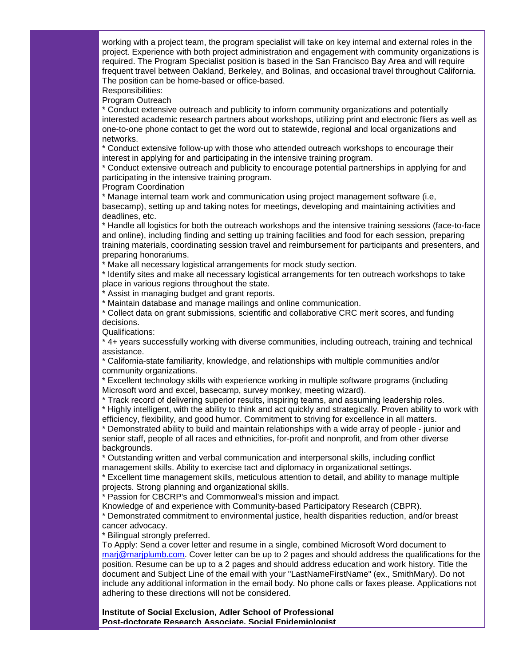working with a project team, the program specialist will take on key internal and external roles in the project. Experience with both project administration and engagement with community organizations is required. The Program Specialist position is based in the San Francisco Bay Area and will require frequent travel between Oakland, Berkeley, and Bolinas, and occasional travel throughout California. The position can be home-based or office-based.

Responsibilities:

Program Outreach

\* Conduct extensive outreach and publicity to inform community organizations and potentially interested academic research partners about workshops, utilizing print and electronic fliers as well as one-to-one phone contact to get the word out to statewide, regional and local organizations and networks.

\* Conduct extensive follow-up with those who attended outreach workshops to encourage their interest in applying for and participating in the intensive training program.

\* Conduct extensive outreach and publicity to encourage potential partnerships in applying for and participating in the intensive training program.

Program Coordination

\* Manage internal team work and communication using project management software (i.e, basecamp), setting up and taking notes for meetings, developing and maintaining activities and deadlines, etc.

\* Handle all logistics for both the outreach workshops and the intensive training sessions (face-to-face and online), including finding and setting up training facilities and food for each session, preparing training materials, coordinating session travel and reimbursement for participants and presenters, and preparing honorariums.

\* Make all necessary logistical arrangements for mock study section.

\* Identify sites and make all necessary logistical arrangements for ten outreach workshops to take place in various regions throughout the state.

\* Assist in managing budget and grant reports.

\* Maintain database and manage mailings and online communication.

\* Collect data on grant submissions, scientific and collaborative CRC merit scores, and funding decisions.

Qualifications:

\* 4+ years successfully working with diverse communities, including outreach, training and technical assistance.

\* California-state familiarity, knowledge, and relationships with multiple communities and/or community organizations.

\* Excellent technology skills with experience working in multiple software programs (including Microsoft word and excel, basecamp, survey monkey, meeting wizard).

\* Track record of delivering superior results, inspiring teams, and assuming leadership roles.

\* Highly intelligent, with the ability to think and act quickly and strategically. Proven ability to work with efficiency, flexibility, and good humor. Commitment to striving for excellence in all matters.

\* Demonstrated ability to build and maintain relationships with a wide array of people - junior and senior staff, people of all races and ethnicities, for-profit and nonprofit, and from other diverse backgrounds.

\* Outstanding written and verbal communication and interpersonal skills, including conflict management skills. Ability to exercise tact and diplomacy in organizational settings.

\* Excellent time management skills, meticulous attention to detail, and ability to manage multiple projects. Strong planning and organizational skills.

\* Passion for CBCRP's and Commonweal's mission and impact.

Knowledge of and experience with Community-based Participatory Research (CBPR).

\* Demonstrated commitment to environmental justice, health disparities reduction, and/or breast cancer advocacy.

\* Bilingual strongly preferred.

To Apply: Send a cover letter and resume in a single, combined Microsoft Word document to [marj@marjplumb.com.](mailto:marj@marjplumb.com) Cover letter can be up to 2 pages and should address the qualifications for the position. Resume can be up to a 2 pages and should address education and work history. Title the document and Subject Line of the email with your "LastNameFirstName" (ex., SmithMary). Do not include any additional information in the email body. No phone calls or faxes please. Applications not adhering to these directions will not be considered.

**Institute of Social Exclusion, Adler School of Professional Post-doctorate Research Associate, Social Epidemiologist**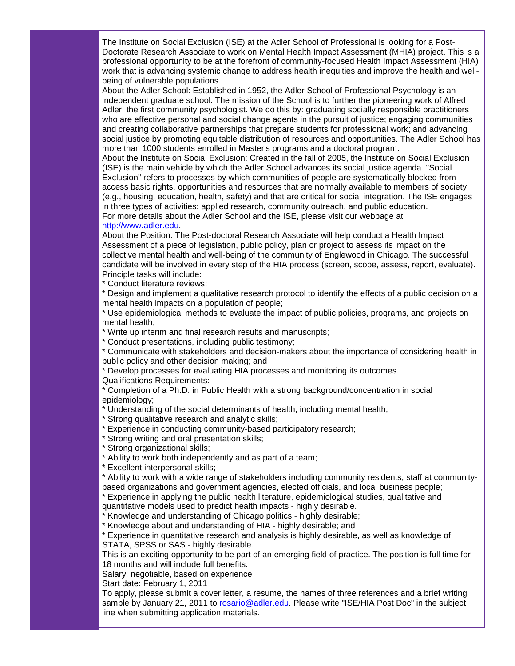The Institute on Social Exclusion (ISE) at the Adler School of Professional is looking for a Post-Doctorate Research Associate to work on Mental Health Impact Assessment (MHIA) project. This is a professional opportunity to be at the forefront of community-focused Health Impact Assessment (HIA) work that is advancing systemic change to address health inequities and improve the health and wellbeing of vulnerable populations.

About the Adler School: Established in 1952, the Adler School of Professional Psychology is an independent graduate school. The mission of the School is to further the pioneering work of Alfred Adler, the first community psychologist. We do this by: graduating socially responsible practitioners who are effective personal and social change agents in the pursuit of justice; engaging communities and creating collaborative partnerships that prepare students for professional work; and advancing social justice by promoting equitable distribution of resources and opportunities. The Adler School has more than 1000 students enrolled in Master's programs and a doctoral program.

About the Institute on Social Exclusion: Created in the fall of 2005, the Institute on Social Exclusion (ISE) is the main vehicle by which the Adler School advances its social justice agenda. "Social Exclusion" refers to processes by which communities of people are systematically blocked from access basic rights, opportunities and resources that are normally available to members of society (e.g., housing, education, health, safety) and that are critical for social integration. The ISE engages in three types of activities: applied research, community outreach, and public education. For more details about the Adler School and the ISE, please visit our webpage at

# [http://www.adler.edu.](http://r20.rs6.net/tn.jsp?llr=5gytkqcab&et=1104246531930&s=1&e=001o4BZjU-uAY7YGD7gPXmHeCJkPwPTCUBUGnlo2MSiDXwiOSMwaX0LWGz4RH4-6zZsURLCzH6j7sDvo2BDQzmbFVNld-9UcWLpsnLY0NLRC48=)

About the Position: The Post-doctoral Research Associate will help conduct a Health Impact Assessment of a piece of legislation, public policy, plan or project to assess its impact on the collective mental health and well-being of the community of Englewood in Chicago. The successful candidate will be involved in every step of the HIA process (screen, scope, assess, report, evaluate). Principle tasks will include:

\* Conduct literature reviews;

\* Design and implement a qualitative research protocol to identify the effects of a public decision on a mental health impacts on a population of people;

\* Use epidemiological methods to evaluate the impact of public policies, programs, and projects on mental health;

\* Write up interim and final research results and manuscripts;

\* Conduct presentations, including public testimony;

\* Communicate with stakeholders and decision-makers about the importance of considering health in public policy and other decision making; and

\* Develop processes for evaluating HIA processes and monitoring its outcomes. Qualifications Requirements:

\* Completion of a Ph.D. in Public Health with a strong background/concentration in social epidemiology;

\* Understanding of the social determinants of health, including mental health;

\* Strong qualitative research and analytic skills;

\* Experience in conducting community-based participatory research;

\* Strong writing and oral presentation skills;

\* Strong organizational skills;

\* Ability to work both independently and as part of a team;

\* Excellent interpersonal skills;

\* Ability to work with a wide range of stakeholders including community residents, staff at community-

based organizations and government agencies, elected officials, and local business people; \* Experience in applying the public health literature, epidemiological studies, qualitative and

quantitative models used to predict health impacts - highly desirable.

\* Knowledge and understanding of Chicago politics - highly desirable;

\* Knowledge about and understanding of HIA - highly desirable; and

\* Experience in quantitative research and analysis is highly desirable, as well as knowledge of STATA, SPSS or SAS - highly desirable.

This is an exciting opportunity to be part of an emerging field of practice. The position is full time for 18 months and will include full benefits.

Salary: negotiable, based on experience

Start date: February 1, 2011

To apply, please submit a cover letter, a resume, the names of three references and a brief writing sample by January 21, 2011 to [rosario@adler.edu.](mailto:rosario@adler.edu) Please write "ISE/HIA Post Doc" in the subject line when submitting application materials.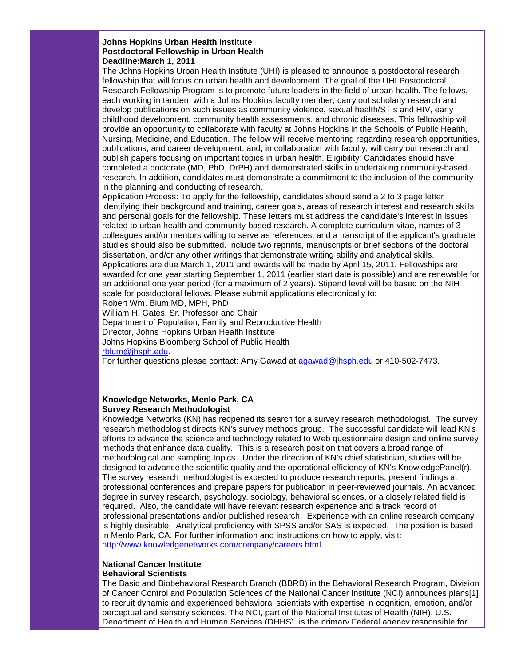#### **Johns Hopkins Urban Health Institute Postdoctoral Fellowship in Urban Health Deadline:March 1, 2011**

The Johns Hopkins Urban Health Institute (UHI) is pleased to announce a postdoctoral research fellowship that will focus on urban health and development. The goal of the UHI Postdoctoral Research Fellowship Program is to promote future leaders in the field of urban health. The fellows, each working in tandem with a Johns Hopkins faculty member, carry out scholarly research and develop publications on such issues as community violence, sexual health/STIs and HIV, early childhood development, community health assessments, and chronic diseases. This fellowship will provide an opportunity to collaborate with faculty at Johns Hopkins in the Schools of Public Health, Nursing, Medicine, and Education. The fellow will receive mentoring regarding research opportunities, publications, and career development, and, in collaboration with faculty, will carry out research and publish papers focusing on important topics in urban health. Eligibility: Candidates should have completed a doctorate (MD, PhD, DrPH) and demonstrated skills in undertaking community-based research. In addition, candidates must demonstrate a commitment to the inclusion of the community in the planning and conducting of research.

Application Process: To apply for the fellowship, candidates should send a 2 to 3 page letter identifying their background and training, career goals, areas of research interest and research skills, and personal goals for the fellowship. These letters must address the candidate's interest in issues related to urban health and community-based research. A complete curriculum vitae, names of 3 colleagues and/or mentors willing to serve as references, and a transcript of the applicant's graduate studies should also be submitted. Include two reprints, manuscripts or brief sections of the doctoral dissertation, and/or any other writings that demonstrate writing ability and analytical skills. Applications are due March 1, 2011 and awards will be made by April 15, 2011. Fellowships are awarded for one year starting September 1, 2011 (earlier start date is possible) and are renewable for an additional one year period (for a maximum of 2 years). Stipend level will be based on the NIH scale for postdoctoral fellows. Please submit applications electronically to: Robert Wm. Blum MD, MPH, PhD William H. Gates, Sr. Professor and Chair

Department of Population, Family and Reproductive Health Director, Johns Hopkins Urban Health Institute Johns Hopkins Bloomberg School of Public Health [rblum@jhsph.edu.](mailto:rblum@jhsph.edu)

For further questions please contact: Amy Gawad at [agawad@jhsph.edu](mailto:agawad@jhsph.edu) or 410-502-7473.

#### **Knowledge Networks, Menlo Park, CA Survey Research Methodologist**

Knowledge Networks (KN) has reopened its search for a survey research methodologist. The survey research methodologist directs KN's survey methods group. The successful candidate will lead KN's efforts to advance the science and technology related to Web questionnaire design and online survey methods that enhance data quality. This is a research position that covers a broad range of methodological and sampling topics. Under the direction of KN's chief statistician, studies will be designed to advance the scientific quality and the operational efficiency of KN's KnowledgePanel(r). The survey research methodologist is expected to produce research reports, present findings at professional conferences and prepare papers for publication in peer-reviewed journals. An advanced degree in survey research, psychology, sociology, behavioral sciences, or a closely related field is required. Also, the candidate will have relevant research experience and a track record of professional presentations and/or published research. Experience with an online research company is highly desirable. Analytical proficiency with SPSS and/or SAS is expected. The position is based in Menlo Park, CA. For further information and instructions on how to apply, visit: [http://www.knowledgenetworks.com/company/careers.html.](http://r20.rs6.net/tn.jsp?llr=5gytkqcab&et=1104246531930&s=1&e=001o4BZjU-uAY4HWNJesT6BOMBgU_Sgrpu31wRHl0DCtr8zTU5xmh1apvsKBF8Xlk1W3erm0ntS8wwvdNPvMKxpAMuSXZ_-4In586S93aRlxpvuGCQMH3j4dtIt4OcqIAOBihf1Ra1zAIyGLbBvWsXUVw==)

#### **National Cancer Institute Behavioral Scientists**

The Basic and Biobehavioral Research Branch (BBRB) in the Behavioral Research Program, Division of Cancer Control and Population Sciences of the National Cancer Institute (NCI) announces plans[1] to recruit dynamic and experienced behavioral scientists with expertise in cognition, emotion, and/or perceptual and sensory sciences. The NCI, part of the National Institutes of Health (NIH), U.S. Department of Health and Human Services (DHHS), is the primary Federal agency responsible for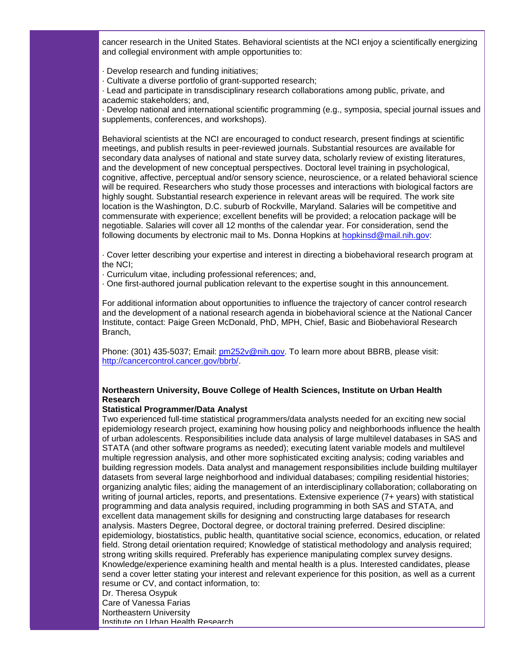cancer research in the United States. Behavioral scientists at the NCI enjoy a scientifically energizing and collegial environment with ample opportunities to:

- · Develop research and funding initiatives;
- · Cultivate a diverse portfolio of grant-supported research;

· Lead and participate in transdisciplinary research collaborations among public, private, and academic stakeholders; and,

· Develop national and international scientific programming (e.g., symposia, special journal issues and supplements, conferences, and workshops).

Behavioral scientists at the NCI are encouraged to conduct research, present findings at scientific meetings, and publish results in peer-reviewed journals. Substantial resources are available for secondary data analyses of national and state survey data, scholarly review of existing literatures, and the development of new conceptual perspectives. Doctoral level training in psychological, cognitive, affective, perceptual and/or sensory science, neuroscience, or a related behavioral science will be required. Researchers who study those processes and interactions with biological factors are highly sought. Substantial research experience in relevant areas will be required. The work site location is the Washington, D.C. suburb of Rockville, Maryland. Salaries will be competitive and commensurate with experience; excellent benefits will be provided; a relocation package will be negotiable. Salaries will cover all 12 months of the calendar year. For consideration, send the following documents by electronic mail to Ms. Donna Hopkins at [hopkinsd@mail.nih.gov:](mailto:hopkinsd@mail.nih.gov)

· Cover letter describing your expertise and interest in directing a biobehavioral research program at the NCI;

· Curriculum vitae, including professional references; and,

· One first-authored journal publication relevant to the expertise sought in this announcement.

For additional information about opportunities to influence the trajectory of cancer control research and the development of a national research agenda in biobehavioral science at the National Cancer Institute, contact: Paige Green McDonald, PhD, MPH, Chief, Basic and Biobehavioral Research Branch,

Phone: (301) 435-5037; Email: [pm252v@nih.gov.](mailto:pm252v@nih.gov) To learn more about BBRB, please visit: [http://cancercontrol.cancer.gov/bbrb/.](http://r20.rs6.net/tn.jsp?llr=5gytkqcab&et=1104246531930&s=1&e=001o4BZjU-uAY5EXLjNepwD-LEhET2UQ1DXsIhtVswyKCfe9Rjp0dE-jE4OVLl2sXwT4-qBon3mp2RhNLwQR17cRuJAECsThnIVFRAvQi-eGtgFivCV-jix8PoIBV30sTHf)

#### **Northeastern University, Bouve College of Health Sciences, Institute on Urban Health Research**

#### **Statistical Programmer/Data Analyst**

Two experienced full-time statistical programmers/data analysts needed for an exciting new social epidemiology research project, examining how housing policy and neighborhoods influence the health of urban adolescents. Responsibilities include data analysis of large multilevel databases in SAS and STATA (and other software programs as needed); executing latent variable models and multilevel multiple regression analysis, and other more sophisticated exciting analysis; coding variables and building regression models. Data analyst and management responsibilities include building multilayer datasets from several large neighborhood and individual databases; compiling residential histories; organizing analytic files; aiding the management of an interdisciplinary collaboration; collaborating on writing of journal articles, reports, and presentations. Extensive experience (7+ years) with statistical programming and data analysis required, including programming in both SAS and STATA, and excellent data management skills for designing and constructing large databases for research analysis. Masters Degree, Doctoral degree, or doctoral training preferred. Desired discipline: epidemiology, biostatistics, public health, quantitative social science, economics, education, or related field. Strong detail orientation required; Knowledge of statistical methodology and analysis required; strong writing skills required. Preferably has experience manipulating complex survey designs. Knowledge/experience examining health and mental health is a plus. Interested candidates, please send a cover letter stating your interest and relevant experience for this position, as well as a current resume or CV, and contact information, to: Dr. Theresa Osypuk

Care of Vanessa Farias Northeastern University Institute on Urban Health Research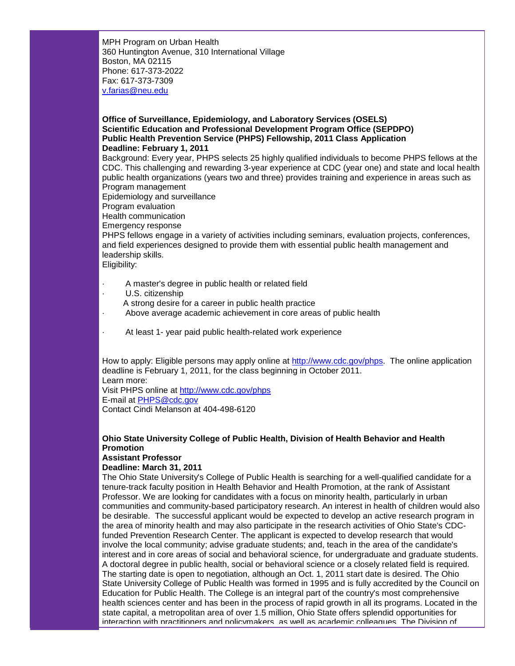MPH Program on Urban Health 360 Huntington Avenue, 310 International Village Boston, MA 02115 Phone: 617-373-2022 Fax: 617-373-7309 [v.farias@neu.edu](mailto:v.farias@neu.edu)

#### **Office of Surveillance, Epidemiology, and Laboratory Services (OSELS) Scientific Education and Professional Development Program Office (SEPDPO) Public Health Prevention Service (PHPS) Fellowship, 2011 Class Application Deadline: February 1, 2011**

Background: Every year, PHPS selects 25 highly qualified individuals to become PHPS fellows at the CDC. This challenging and rewarding 3-year experience at CDC (year one) and state and local health public health organizations (years two and three) provides training and experience in areas such as Program management

Epidemiology and surveillance

Program evaluation

Health communication

Emergency response

PHPS fellows engage in a variety of activities including seminars, evaluation projects, conferences, and field experiences designed to provide them with essential public health management and leadership skills.

Eligibility:

- · A master's degree in public health or related field
- U.S. citizenship
- A strong desire for a career in public health practice
- Above average academic achievement in core areas of public health
- At least 1- year paid public health-related work experience

How to apply: Eligible persons may apply online at [http://www.cdc.gov/phps.](http://r20.rs6.net/tn.jsp?llr=5gytkqcab&et=1104246531930&s=1&e=001o4BZjU-uAY5lThEXSukvFUVq7fqs-vBkPsSYhotBCp7rwKmv1s3zAx6joKgywqBT9zJuJcxZCM8Qq8h3n1IB479xm9IAU5L5nskLJ10DG_k=) The online application deadline is February 1, 2011, for the class beginning in October 2011. Learn more:

Visit PHPS online at [http://www.cdc.gov/phps](http://r20.rs6.net/tn.jsp?llr=5gytkqcab&et=1104246531930&s=1&e=001o4BZjU-uAY5lThEXSukvFUVq7fqs-vBkPsSYhotBCp7rwKmv1s3zAx6joKgywqBT9zJuJcxZCM8Qq8h3n1IB479xm9IAU5L5nskLJ10DG_k=) E-mail at [PHPS@cdc.gov](mailto:PHPS@cdc.gov) Contact Cindi Melanson at 404-498-6120

## **Ohio State University College of Public Health, Division of Health Behavior and Health Promotion**

# **Assistant Professor**

#### **Deadline: March 31, 2011**

The Ohio State University's College of Public Health is searching for a well-qualified candidate for a tenure-track faculty position in Health Behavior and Health Promotion, at the rank of Assistant Professor. We are looking for candidates with a focus on minority health, particularly in urban communities and community-based participatory research. An interest in health of children would also be desirable. The successful applicant would be expected to develop an active research program in the area of minority health and may also participate in the research activities of Ohio State's CDCfunded Prevention Research Center. The applicant is expected to develop research that would involve the local community; advise graduate students; and, teach in the area of the candidate's interest and in core areas of social and behavioral science, for undergraduate and graduate students. A doctoral degree in public health, social or behavioral science or a closely related field is required. The starting date is open to negotiation, although an Oct. 1, 2011 start date is desired. The Ohio State University College of Public Health was formed in 1995 and is fully accredited by the Council on Education for Public Health. The College is an integral part of the country's most comprehensive health sciences center and has been in the process of rapid growth in all its programs. Located in the state capital, a metropolitan area of over 1.5 million, Ohio State offers splendid opportunities for interaction with practitioners and policymakers, as well as academic colleagues. The Division of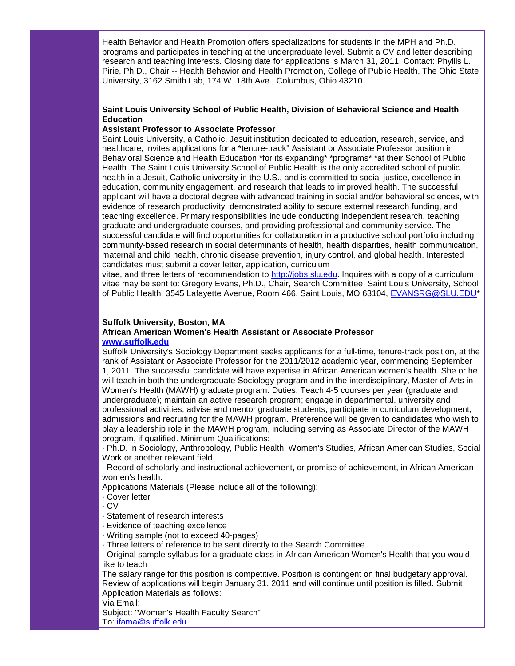Health Behavior and Health Promotion offers specializations for students in the MPH and Ph.D. programs and participates in teaching at the undergraduate level. Submit a CV and letter describing research and teaching interests. Closing date for applications is March 31, 2011. Contact: Phyllis L. Pirie, Ph.D., Chair -- Health Behavior and Health Promotion, College of Public Health, The Ohio State University, 3162 Smith Lab, 174 W. 18th Ave., Columbus, Ohio 43210.

# **Saint Louis University School of Public Health, Division of Behavioral Science and Health Education**

#### **Assistant Professor to Associate Professor**

Saint Louis University, a Catholic, Jesuit institution dedicated to education, research, service, and healthcare, invites applications for a \*tenure-track" Assistant or Associate Professor position in Behavioral Science and Health Education \*for its expanding\* \*programs\* \*at their School of Public Health. The Saint Louis University School of Public Health is the only accredited school of public health in a Jesuit, Catholic university in the U.S., and is committed to social justice, excellence in education, community engagement, and research that leads to improved health. The successful applicant will have a doctoral degree with advanced training in social and/or behavioral sciences, with evidence of research productivity, demonstrated ability to secure external research funding, and teaching excellence. Primary responsibilities include conducting independent research, teaching graduate and undergraduate courses, and providing professional and community service. The successful candidate will find opportunities for collaboration in a productive school portfolio including community-based research in social determinants of health, health disparities, health communication, maternal and child health, chronic disease prevention, injury control, and global health. Interested candidates must submit a cover letter, application, curriculum

vitae, and three letters of recommendation to [http://jobs.slu.edu.](http://r20.rs6.net/tn.jsp?llr=5gytkqcab&et=1104246531930&s=1&e=001o4BZjU-uAY4JrRvFamU0Yj7mFqdMYlz1jxkXlImx7w8R_Ek4b2UnBeP7OWgF_19M7nYgIdnbgMAuInSMAbyo6jhqrSUF5pz0N1uHKRBpQng=) Inquires with a copy of a curriculum vitae may be sent to: Gregory Evans, Ph.D., Chair, Search Committee, Saint Louis University, School of Public Health, 3545 Lafayette Avenue, Room 466, Saint Louis, MO 63104, [EVANSRG@SLU.EDU\\*](mailto:EVANSRG@SLU.EDU)

#### **Suffolk University, Boston, MA**

#### **African American Women's Health Assistant or Associate Professor [www.suffolk.edu](http://r20.rs6.net/tn.jsp?llr=5gytkqcab&et=1104246531930&s=1&e=001o4BZjU-uAY4AXxTeYF9W8eCq1i5Vakwt9B2pFqh67Lkyf9sRqEPuLkfTbTgHRejljJVXdGQyebbNg969HaD5-eAx9fKh7AUMkZHqoKVZqPE=)**

Suffolk University's Sociology Department seeks applicants for a full-time, tenure-track position, at the rank of Assistant or Associate Professor for the 2011/2012 academic year, commencing September 1, 2011. The successful candidate will have expertise in African American women's health. She or he will teach in both the undergraduate Sociology program and in the interdisciplinary, Master of Arts in Women's Health (MAWH) graduate program. Duties: Teach 4-5 courses per year (graduate and undergraduate); maintain an active research program; engage in departmental, university and professional activities; advise and mentor graduate students; participate in curriculum development, admissions and recruiting for the MAWH program. Preference will be given to candidates who wish to play a leadership role in the MAWH program, including serving as Associate Director of the MAWH program, if qualified. Minimum Qualifications:

· Ph.D. in Sociology, Anthropology, Public Health, Women's Studies, African American Studies, Social Work or another relevant field.

· Record of scholarly and instructional achievement, or promise of achievement, in African American women's health.

- Applications Materials (Please include all of the following):
- · Cover letter

· CV

- · Statement of research interests
- · Evidence of teaching excellence
- · Writing sample (not to exceed 40-pages)
- · Three letters of reference to be sent directly to the Search Committee

· Original sample syllabus for a graduate class in African American Women's Health that you would like to teach

The salary range for this position is competitive. Position is contingent on final budgetary approval. Review of applications will begin January 31, 2011 and will continue until position is filled. Submit Application Materials as follows:

Via Email:

Subject: "Women's Health Faculty Search"

To: [jfama@suffolk.edu](mailto:jfama@suffolk.edu)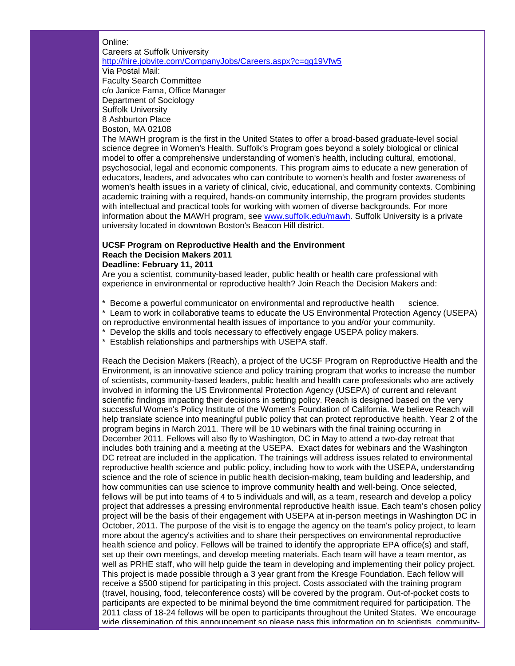Online:

# Careers at Suffolk University http://hire.jobvite.com/CompanyJobs/Careers.aspx?c=qq19Vfw5 Via Postal Mail: Faculty Search Committee c/o Janice Fama, Office Manager Department of Sociology Suffolk University 8 Ashburton Place Boston, MA 02108

The MAWH program is the first in the United States to offer a broad-based graduate-level social science degree in Women's Health. Suffolk's Program goes beyond a solely biological or clinical model to offer a comprehensive understanding of women's health, including cultural, emotional, psychosocial, legal and economic components. This program aims to educate a new generation of educators, leaders, and advocates who can contribute to women's health and foster awareness of women's health issues in a variety of clinical, civic, educational, and community contexts. Combining academic training with a required, hands-on community internship, the program provides students with intellectual and practical tools for working with women of diverse backgrounds. For more information about the MAWH program, see [www.suffolk.edu/mawh.](http://r20.rs6.net/tn.jsp?llr=5gytkqcab&et=1104246531930&s=1&e=001o4BZjU-uAY5sK2P51V1fCEY_-YzfHxuvHRIYNraMRmdN-do5Qkv9cbyt54XVfcsRQdtD6SSy3G02BAezsH2z9h6pkCyzjJ00tvTx4NWxHXCSI0875xZ1xA==) Suffolk University is a private university located in downtown Boston's Beacon Hill district.

#### **UCSF Program on Reproductive Health and the Environment Reach the Decision Makers 2011 Deadline: February 11, 2011**

Are you a scientist, community-based leader, public health or health care professional with experience in environmental or reproductive health? Join Reach the Decision Makers and:

\* Become a powerful communicator on environmental and reproductive health science.

\* Learn to work in collaborative teams to educate the US Environmental Protection Agency (USEPA)

on reproductive environmental health issues of importance to you and/or your community.

\* Develop the skills and tools necessary to effectively engage USEPA policy makers.

\* Establish relationships and partnerships with USEPA staff.

Reach the Decision Makers (Reach), a project of the UCSF Program on Reproductive Health and the Environment, is an innovative science and policy training program that works to increase the number of scientists, community-based leaders, public health and health care professionals who are actively involved in informing the US Environmental Protection Agency (USEPA) of current and relevant scientific findings impacting their decisions in setting policy. Reach is designed based on the very successful Women's Policy Institute of the Women's Foundation of California. We believe Reach will help translate science into meaningful public policy that can protect reproductive health. Year 2 of the program begins in March 2011. There will be 10 webinars with the final training occurring in December 2011. Fellows will also fly to Washington, DC in May to attend a two-day retreat that includes both training and a meeting at the USEPA. Exact dates for webinars and the Washington DC retreat are included in the application. The trainings will address issues related to environmental reproductive health science and public policy, including how to work with the USEPA, understanding science and the role of science in public health decision-making, team building and leadership, and how communities can use science to improve community health and well-being. Once selected, fellows will be put into teams of 4 to 5 individuals and will, as a team, research and develop a policy project that addresses a pressing environmental reproductive health issue. Each team's chosen policy project will be the basis of their engagement with USEPA at in-person meetings in Washington DC in October, 2011. The purpose of the visit is to engage the agency on the team's policy project, to learn more about the agency's activities and to share their perspectives on environmental reproductive health science and policy. Fellows will be trained to identify the appropriate EPA office(s) and staff, set up their own meetings, and develop meeting materials. Each team will have a team mentor, as well as PRHE staff, who will help guide the team in developing and implementing their policy project. This project is made possible through a 3 year grant from the Kresge Foundation. Each fellow will receive a \$500 stipend for participating in this project. Costs associated with the training program (travel, housing, food, teleconference costs) will be covered by the program. Out-of-pocket costs to participants are expected to be minimal beyond the time commitment required for participation. The 2011 class of 18-24 fellows will be open to participants throughout the United States. We encourage wide dissemination of this announcement so please pass this information on to scientists, community-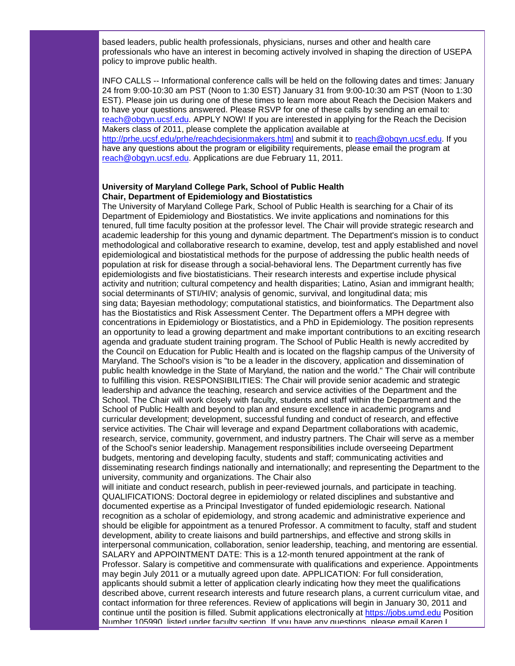based leaders, public health professionals, physicians, nurses and other and health care professionals who have an interest in becoming actively involved in shaping the direction of USEPA policy to improve public health.

INFO CALLS -- Informational conference calls will be held on the following dates and times: January 24 from 9:00-10:30 am PST (Noon to 1:30 EST) January 31 from 9:00-10:30 am PST (Noon to 1:30 EST). Please join us during one of these times to learn more about Reach the Decision Makers and to have your questions answered. Please RSVP for one of these calls by sending an email to: [reach@obgyn.ucsf.edu.](mailto:reach@obgyn.ucsf.edu) APPLY NOW! If you are interested in applying for the Reach the Decision Makers class of 2011, please complete the application available at [http://prhe.ucsf.edu/prhe/reachdecisionmakers.html](http://r20.rs6.net/tn.jsp?llr=5gytkqcab&et=1104246531930&s=1&e=001o4BZjU-uAY5FJ1_DtfxZd4g5fRiWrscE17ju1ROo3RJSpzOUSF1C7OZIQ2bTJGYig15fCwZje1bCJVAhleNkSkhNV4wPr6gw7F9hlh-v8247vNux1MpWYt4uJEVE4_5k60H5RaDoJbRTmX4X9dF2zA==) and submit it to [reach@obgyn.ucsf.edu.](mailto:reach@obgyn.ucsf.edu) If you have any questions about the program or eligibility requirements, please email the program at

[reach@obgyn.ucsf.edu.](mailto:reach@obgyn.ucsf.edu) Applications are due February 11, 2011.

#### **University of Maryland College Park, School of Public Health Chair, Department of Epidemiology and Biostatistics**

The University of Maryland College Park, School of Public Health is searching for a Chair of its Department of Epidemiology and Biostatistics. We invite applications and nominations for this tenured, full time faculty position at the professor level. The Chair will provide strategic research and academic leadership for this young and dynamic department. The Department's mission is to conduct methodological and collaborative research to examine, develop, test and apply established and novel epidemiological and biostatistical methods for the purpose of addressing the public health needs of population at risk for disease through a social-behavioral lens. The Department currently has five epidemiologists and five biostatisticians. Their research interests and expertise include physical activity and nutrition; cultural competency and health disparities; Latino, Asian and immigrant health; social determinants of STI/HIV; analysis of genomic, survival, and longitudinal data; mis sing data; Bayesian methodology; computational statistics, and bioinformatics. The Department also has the Biostatistics and Risk Assessment Center. The Department offers a MPH degree with concentrations in Epidemiology or Biostatistics, and a PhD in Epidemiology. The position represents an opportunity to lead a growing department and make important contributions to an exciting research agenda and graduate student training program. The School of Public Health is newly accredited by the Council on Education for Public Health and is located on the flagship campus of the University of Maryland. The School's vision is "to be a leader in the discovery, application and dissemination of public health knowledge in the State of Maryland, the nation and the world." The Chair will contribute to fulfilling this vision. RESPONSIBILITIES: The Chair will provide senior academic and strategic leadership and advance the teaching, research and service activities of the Department and the School. The Chair will work closely with faculty, students and staff within the Department and the School of Public Health and beyond to plan and ensure excellence in academic programs and curricular development; development, successful funding and conduct of research, and effective service activities. The Chair will leverage and expand Department collaborations with academic, research, service, community, government, and industry partners. The Chair will serve as a member of the School's senior leadership. Management responsibilities include overseeing Department budgets, mentoring and developing faculty, students and staff; communicating activities and disseminating research findings nationally and internationally; and representing the Department to the university, community and organizations. The Chair also

will initiate and conduct research, publish in peer-reviewed journals, and participate in teaching. QUALIFICATIONS: Doctoral degree in epidemiology or related disciplines and substantive and documented expertise as a Principal Investigator of funded epidemiologic research. National recognition as a scholar of epidemiology, and strong academic and administrative experience and should be eligible for appointment as a tenured Professor. A commitment to faculty, staff and student development, ability to create liaisons and build partnerships, and effective and strong skills in interpersonal communication, collaboration, senior leadership, teaching, and mentoring are essential. SALARY and APPOINTMENT DATE: This is a 12-month tenured appointment at the rank of Professor. Salary is competitive and commensurate with qualifications and experience. Appointments may begin July 2011 or a mutually agreed upon date. APPLICATION: For full consideration, applicants should submit a letter of application clearly indicating how they meet the qualifications described above, current research interests and future research plans, a current curriculum vitae, and contact information for three references. Review of applications will begin in January 30, 2011 and continue until the position is filled. Submit applications electronically at [https://jobs.umd.edu](http://r20.rs6.net/tn.jsp?llr=5gytkqcab&et=1104246531930&s=1&e=001o4BZjU-uAY77jV1oTUcX95rrDJz5i762UfKNNZVybU4bBnw7sL3Bp1lUE21_A57pU8Fmw7_AYkyX2Kqpgs-Cr41twyf421SYr6YzRd2mSJ8=) Position Number 105990, listed under faculty section. If you have any questions, please email Karen L.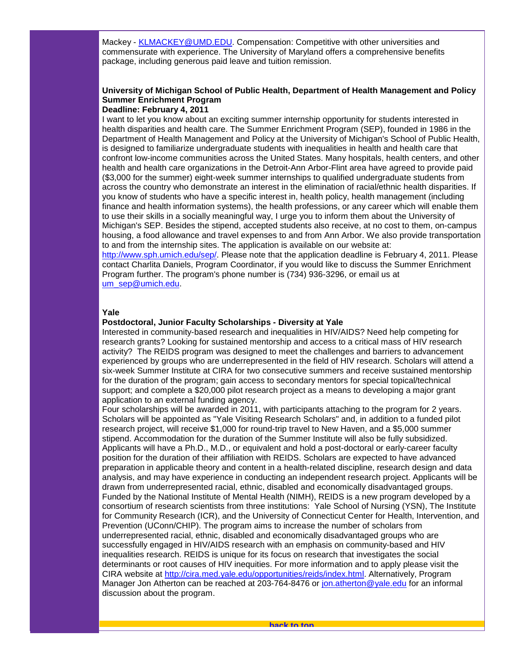Mackey - [KLMACKEY@UMD.EDU.](mailto:KLMACKEY@UMD.EDU) Compensation: Competitive with other universities and commensurate with experience. The University of Maryland offers a comprehensive benefits package, including generous paid leave and tuition remission.

# **University of Michigan School of Public Health, Department of Health Management and Policy Summer Enrichment Program**

#### **Deadline: February 4, 2011**

I want to let you know about an exciting summer internship opportunity for students interested in health disparities and health care. The Summer Enrichment Program (SEP), founded in 1986 in the Department of Health Management and Policy at the University of Michigan's School of Public Health, is designed to familiarize undergraduate students with inequalities in health and health care that confront low-income communities across the United States. Many hospitals, health centers, and other health and health care organizations in the Detroit-Ann Arbor-Flint area have agreed to provide paid (\$3,000 for the summer) eight-week summer internships to qualified undergraduate students from across the country who demonstrate an interest in the elimination of racial/ethnic health disparities. If you know of students who have a specific interest in, health policy, health management (including finance and health information systems), the health professions, or any career which will enable them to use their skills in a socially meaningful way, I urge you to inform them about the University of Michigan's SEP. Besides the stipend, accepted students also receive, at no cost to them, on-campus housing, a food allowance and travel expenses to and from Ann Arbor. We also provide transportation to and from the internship sites. The application is available on our website at:

[http://www.sph.umich.edu/sep/.](http://r20.rs6.net/tn.jsp?llr=5gytkqcab&et=1104246531930&s=1&e=001o4BZjU-uAY7PTy85ieh6eVK2c7AiXTlxgnQfqxOYlMymnEwGeaoqbXEKXWNoEW6OtFAL4WYFjFUIEZ1eL5vhTC1hhfZhycq9_VuJic5GVFosXsql4Pz8RA==) Please note that the application deadline is February 4, 2011. Please contact Charlita Daniels, Program Coordinator, if you would like to discuss the Summer Enrichment Program further. The program's phone number is (734) 936-3296, or email us at [um\\_sep@umich.edu.](mailto:um_sep@umich.edu)

#### **Yale**

#### **Postdoctoral, Junior Faculty Scholarships - Diversity at Yale**

Interested in community-based research and inequalities in HIV/AIDS? Need help competing for research grants? Looking for sustained mentorship and access to a critical mass of HIV research activity? The REIDS program was designed to meet the challenges and barriers to advancement experienced by groups who are underrepresented in the field of HIV research. Scholars will attend a six-week Summer Institute at CIRA for two consecutive summers and receive sustained mentorship for the duration of the program; gain access to secondary mentors for special topical/technical support; and complete a \$20,000 pilot research project as a means to developing a major grant application to an external funding agency.

<span id="page-18-0"></span>Four scholarships will be awarded in 2011, with participants attaching to the program for 2 years. Scholars will be appointed as "Yale Visiting Research Scholars" and, in addition to a funded pilot research project, will receive \$1,000 for round-trip travel to New Haven, and a \$5,000 summer stipend. Accommodation for the duration of the Summer Institute will also be fully subsidized. Applicants will have a Ph.D., M.D., or equivalent and hold a post-doctoral or early-career faculty position for the duration of their affiliation with REIDS. Scholars are expected to have advanced preparation in applicable theory and content in a health-related discipline, research design and data analysis, and may have experience in conducting an independent research project. Applicants will be drawn from underrepresented racial, ethnic, disabled and economically disadvantaged groups. Funded by the National Institute of Mental Health (NIMH), REIDS is a new program developed by a consortium of research scientists from three institutions: Yale School of Nursing (YSN), The Institute for Community Research (ICR), and the University of Connecticut Center for Health, Intervention, and Prevention (UConn/CHIP). The program aims to increase the number of scholars from underrepresented racial, ethnic, disabled and economically disadvantaged groups who are successfully engaged in HIV/AIDS research with an emphasis on community-based and HIV inequalities research. REIDS is unique for its focus on research that investigates the social determinants or root causes of HIV inequities. For more information and to apply please visit the CIRA website at [http://cira.med.yale.edu/opportunities/reids/index.html.](http://r20.rs6.net/tn.jsp?llr=5gytkqcab&et=1104246531930&s=1&e=001o4BZjU-uAY4lFzJRPY6CeJw4ilqWsgmfaI3iAIK0h2E185L0KtfU5XJwm7J7cEyVhZJZKZErtuijU5yMTkZYrxBtuRZQHEJZwhu01LpzFS2LhMhKl6pqrf9q_cvHfgx-paNRsxZ35kYcGFhedZznN-pmOHOMYfdb) Alternatively, Program Manager Jon Atherton can be reached at 203-764-8476 or [jon.atherton@yale.edu](mailto:jon.atherton@yale.edu) for an informal discussion about the program.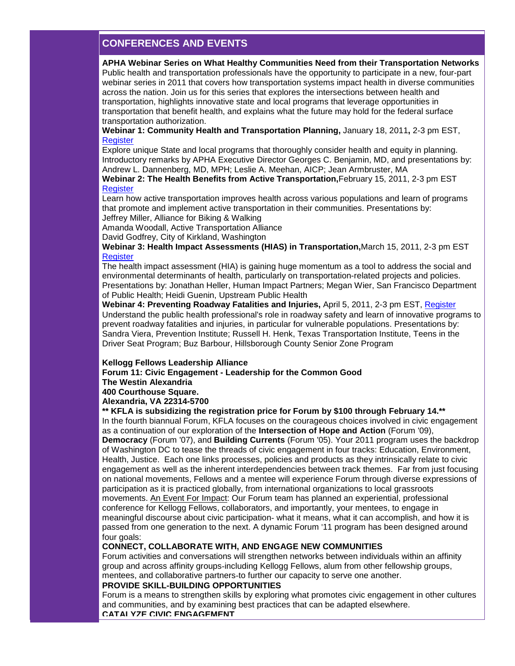# **CONFERENCES AND EVENTS**

**APHA Webinar Series on What Healthy Communities Need from their Transportation Networks**

Public health and transportation professionals have the opportunity to participate in a new, four-part webinar series in 2011 that covers how transportation systems impact health in diverse communities across the nation. Join us for this series that explores the intersections between health and transportation, highlights innovative state and local programs that leverage opportunities in transportation that benefit health, and explains what the future may hold for the federal surface transportation authorization.

**Webinar 1: Community Health and Transportation Planning,** January 18, 2011**,** 2-3 pm EST, **[Register](http://r20.rs6.net/tn.jsp?llr=5gytkqcab&et=1104246531930&s=1&e=001o4BZjU-uAY4Z9QTX78gFWFTVs-I5k_DbumW9J8Y19RUKCXxVirRS-yfQku1pLbCsQh7u4vqp53V79pFXveH5RyGv-WQiaNiGow0TsmVQJ81TaOXExPUVicwb9EF255dbp9FGiqyWp7bZyHNxjTRoJ_MHD3YXhMxZ)** 

Explore unique State and local programs that thoroughly consider health and equity in planning. Introductory remarks by APHA Executive Director Georges C. Benjamin, MD, and presentations by: Andrew L. Dannenberg, MD, MPH; Leslie A. Meehan, AICP; Jean Armbruster, MA

**Webinar 2: The Health Benefits from Active Transportation,**February 15, 2011, 2-3 pm EST **[Register](http://r20.rs6.net/tn.jsp?llr=5gytkqcab&et=1104246531930&s=1&e=001o4BZjU-uAY4jMvf02UGagauCPvu7L-vMI_rQFoWJFBj180ZOpfXUoK9osPQuBBVw1g8KP6v3Mpt2-bs55_Fev_tr7Li3v8Ne73xHSfZvd6skwwa8W4LhhfQnaEcCSQS3oTMUUkTUlpygGpLxK5x3mmysTAW2hdV5)** 

Learn how active transportation improves health across various populations and learn of programs that promote and implement active transportation in their communities. Presentations by: Jeffrey Miller, Alliance for Biking & Walking

Amanda Woodall, Active Transportation Alliance

David Godfrey, City of Kirkland, Washington

**Webinar 3: Health Impact Assessments (HIAS) in Transportation,**March 15, 2011, 2-3 pm EST **[Register](http://r20.rs6.net/tn.jsp?llr=5gytkqcab&et=1104246531930&s=1&e=001o4BZjU-uAY5SqfHhEuBEjQeoaHIJBj3aU9kVbKiT0kOuoWJN3Zq2YySA6ql0-Ok4evuV1nflbll1Wva-YYKMeqWOD8P2LHIdp-MzuP_1Cm0sgy-bhCJLbFbFzsRzWmA-in0tp7OdnY7ok2iAZl13fEcXosMlpNWc)** 

The health impact assessment (HIA) is gaining huge momentum as a tool to address the social and environmental determinants of health, particularly on transportation-related projects and policies. Presentations by: Jonathan Heller, Human Impact Partners; Megan Wier, San Francisco Department of Public Health; Heidi Guenin, Upstream Public Health

**Webinar 4: Preventing Roadway Fatalities and Injuries,** April 5, 2011, 2-3 pm EST, [Register](http://r20.rs6.net/tn.jsp?llr=5gytkqcab&et=1104246531930&s=1&e=001o4BZjU-uAY6lYDh_7GC2RXRr_deM1dZukMvq4yRywE6YdZYiysHZp4VLoW0YukfXBwjqSVhbnfhweZImIjwjskHmJO87bngulzENcD2y7XTR9P-qfVw_Kw-c09LRBS1-AtK-tGKT0qO3E32UVMoTYlW--MfhxmfC) Understand the public health professional's role in roadway safety and learn of innovative programs to prevent roadway fatalities and injuries, in particular for vulnerable populations. Presentations by: Sandra Viera, Prevention Institute; Russell H. Henk, Texas Transportation Institute, Teens in the Driver Seat Program; Buz Barbour, Hillsborough County Senior Zone Program

#### **Kellogg Fellows Leadership Alliance**

**Forum 11: Civic Engagement - Leadership for the Common Good**

**The Westin Alexandria**

**400 Courthouse Square.** 

**Alexandria, VA 22314-5700**

#### **\*\* KFLA is subsidizing the registration price for Forum by \$100 through February 14.\*\***

In the fourth biannual Forum, KFLA focuses on the courageous choices involved in civic engagement as a continuation of our exploration of the **Intersection of Hope and Action** (Forum '09), **Democracy** (Forum '07), and **Building Currents** (Forum '05). Your 2011 program uses the backdrop of Washington DC to tease the threads of civic engagement in four tracks: Education, Environment, Health, Justice. Each one links processes, policies and products as they intrinsically relate to civic engagement as well as the inherent interdependencies between track themes. Far from just focusing on national movements, Fellows and a mentee will experience Forum through diverse expressions of participation as it is practiced globally, from international organizations to local grassroots movements. An Event For Impact: Our Forum team has planned an experiential, professional conference for Kellogg Fellows, collaborators, and importantly, your mentees, to engage in meaningful discourse about civic participation- what it means, what it can accomplish, and how it is passed from one generation to the next. A dynamic Forum '11 program has been designed around four goals:

#### **CONNECT, COLLABORATE WITH, AND ENGAGE NEW COMMUNITIES**

Forum activities and conversations will strengthen networks between individuals within an affinity group and across affinity groups-including Kellogg Fellows, alum from other fellowship groups, mentees, and collaborative partners-to further our capacity to serve one another.

# **PROVIDE SKILL-BUILDING OPPORTUNITIES**

Forum is a means to strengthen skills by exploring what promotes civic engagement in other cultures and communities, and by examining best practices that can be adapted elsewhere. **CATALYZE CIVIC ENGAGEMENT**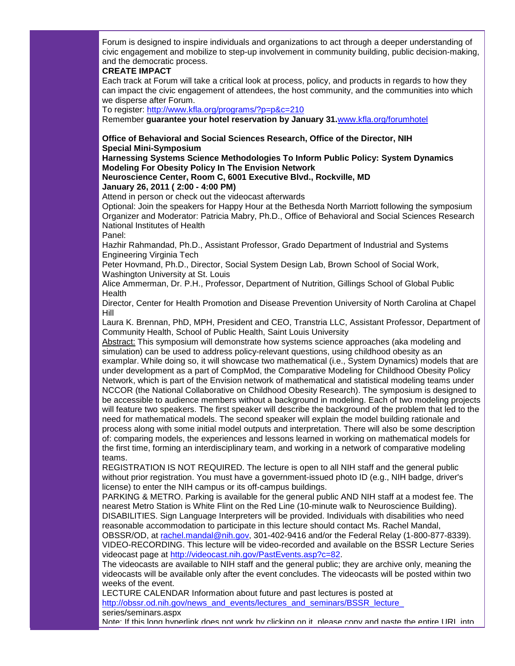Forum is designed to inspire individuals and organizations to act through a deeper understanding of civic engagement and mobilize to step-up involvement in community building, public decision-making, and the democratic process.

#### **CREATE IMPACT**

Each track at Forum will take a critical look at process, policy, and products in regards to how they can impact the civic engagement of attendees, the host community, and the communities into which we disperse after Forum.

To register: [http://www.kfla.org/programs/?p=p&c=210](http://r20.rs6.net/tn.jsp?llr=5gytkqcab&et=1104246531930&s=1&e=001o4BZjU-uAY6r-2mPb7AIuyEPgUmAczr9ZV7Rw6OVc0TOiqAU7peMc1tt-FwFjrwCYNNUyUfCVJscuPgcICXSDu2dWq1neIGvkHKuKNhj43YjCU0astnTTuw1lvyXVC46JhUwY1I-GW6d4DGmNMCnsA==)

Remember **guarantee your hotel reservation by January 31.**[www.kfla.org/forumhotel](http://r20.rs6.net/tn.jsp?llr=qkoxmkcab&et=1104128143164&s=1011&e=001RjrO3q7quHmg9WKoELejicxkfI1dAdOxqEjVTK3AAGc0JzxI6PuhX6Pt9EXtDlUfPYyxmRkXwSmmaZdHUInO018GwUxfAwiQQU2JSIpOKxUwW75vxY_fHSCKsI92Y5YN)

# **Office of Behavioral and Social Sciences Research, Office of the Director, NIH Special Mini-Symposium**

#### **Harnessing Systems Science Methodologies To Inform Public Policy: System Dynamics Modeling For Obesity Policy In The Envision Network**

#### **Neuroscience Center, Room C, 6001 Executive Blvd., Rockville, MD January 26, 2011 ( 2:00 - 4:00 PM)**

Attend in person or check out the videocast afterwards

Optional: Join the speakers for Happy Hour at the Bethesda North Marriott following the symposium Organizer and Moderator: Patricia Mabry, Ph.D., Office of Behavioral and Social Sciences Research National Institutes of Health

Panel:

Hazhir Rahmandad, Ph.D., Assistant Professor, Grado Department of Industrial and Systems Engineering Virginia Tech

Peter Hovmand, Ph.D., Director, Social System Design Lab, Brown School of Social Work, Washington University at St. Louis

Alice Ammerman, Dr. P.H., Professor, Department of Nutrition, Gillings School of Global Public Health

Director, Center for Health Promotion and Disease Prevention University of North Carolina at Chapel Hill

Laura K. Brennan, PhD, MPH, President and CEO, Transtria LLC, Assistant Professor, Department of Community Health, School of Public Health, Saint Louis University

Abstract: This symposium will demonstrate how systems science approaches (aka modeling and simulation) can be used to address policy-relevant questions, using childhood obesity as an examplar. While doing so, it will showcase two mathematical (i.e., System Dynamics) models that are under development as a part of CompMod, the Comparative Modeling for Childhood Obesity Policy Network, which is part of the Envision network of mathematical and statistical modeling teams under NCCOR (the National Collaborative on Childhood Obesity Research). The symposium is designed to be accessible to audience members without a background in modeling. Each of two modeling projects will feature two speakers. The first speaker will describe the background of the problem that led to the need for mathematical models. The second speaker will explain the model building rationale and process along with some initial model outputs and interpretation. There will also be some description of: comparing models, the experiences and lessons learned in working on mathematical models for the first time, forming an interdisciplinary team, and working in a network of comparative modeling teams.

REGISTRATION IS NOT REQUIRED. The lecture is open to all NIH staff and the general public without prior registration. You must have a government-issued photo ID (e.g., NIH badge, driver's license) to enter the NIH campus or its off-campus buildings.

PARKING & METRO. Parking is available for the general public AND NIH staff at a modest fee. The nearest Metro Station is White Flint on the Red Line (10-minute walk to Neuroscience Building). DISABILITIES. Sign Language Interpreters will be provided. Individuals with disabilities who need reasonable accommodation to participate in this lecture should contact Ms. Rachel Mandal, OBSSR/OD, at [rachel.mandal@nih.gov,](mailto:rachel.mandal@nih.gov) 301-402-9416 and/or the Federal Relay (1-800-877-8339). VIDEO-RECORDING. This lecture will be video-recorded and available on the BSSR Lecture Series videocast page at [http://videocast.nih.gov/PastEvents.asp?c=82.](http://r20.rs6.net/tn.jsp?llr=5gytkqcab&t=99zrdneab.0.il4fd4cab.5gytkqcab.1&ts=S0585&p=http%3A%2F%2Fvideocast.nih.gov%2FPastEvents.asp%3Fc%3D82)

The videocasts are available to NIH staff and the general public; they are archive only, meaning the videocasts will be available only after the event concludes. The videocasts will be posted within two weeks of the event.

LECTURE CALENDAR Information about future and past lectures is posted at http://obssr.od.nih.gov/news\_and\_events/lectures\_and\_seminars/BSSR\_lecture

series/seminars.aspx

Note: If this long hyperlink does not work by clicking on it, please copy and paste the entire URL into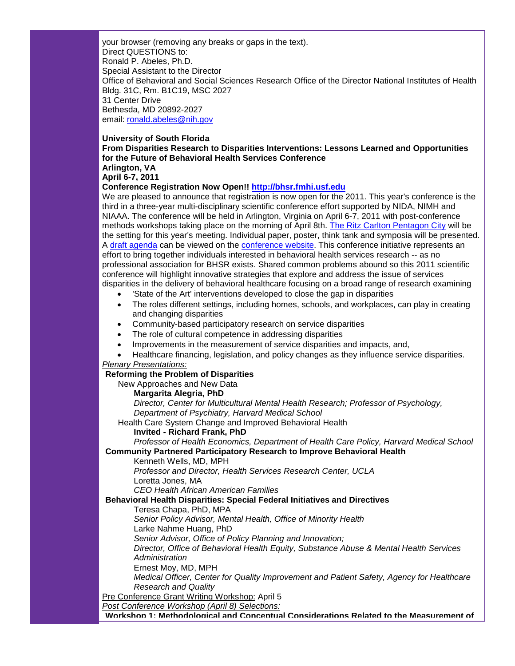your browser (removing any breaks or gaps in the text). Direct QUESTIONS to: Ronald P. Abeles, Ph.D. Special Assistant to the Director Office of Behavioral and Social Sciences Research Office of the Director National Institutes of Health Bldg. 31C, Rm. B1C19, MSC 2027 31 Center Drive Bethesda, MD 20892-2027 email: [ronald.abeles@nih.gov](mailto:ronald.abeles@nih.gov)

#### **University of South Florida**

**From Disparities Research to Disparities Interventions: Lessons Learned and Opportunities for the Future of Behavioral Health Services Conference Arlington, VA**

# **April 6-7, 2011**

**Conference Registration Now Open!! [http://bhsr.fmhi.usf.edu](http://r20.rs6.net/tn.jsp?llr=mxxqjaeab&et=1104202727749&s=5899&e=0014zQ0MFtOI5bUxkLabPtkC2_7es_ap2frwLamuGah1IctYQN5WYJHhNYySyAHWt90P2z5tiQAlK43W5-mIIEkWUBQVxOQfRd68XIVdC3Ic-XiQvwrqVKayA==)**

We are pleased to announce that registration is now open for the 2011. This year's conference is the third in a three-year multi-disciplinary scientific conference effort supported by NIDA, NIMH and NIAAA. The conference will be held in Arlington, Virginia on April 6-7, 2011 with post-conference methods workshops taking place on the morning of April 8th. [The Ritz Carlton Pentagon City](http://r20.rs6.net/tn.jsp?llr=mxxqjaeab&et=1104202727749&s=5899&e=0014zQ0MFtOI5YjjbonEM8kRVA2382XBajtmrX5WXJq6sN5Nl5eZTJ7NW56pbDiskQSY-HHXersIDry3DwnuC11nWZn48_lNQ1PGZ_2vX40oGoeY7_-k7dLwC5OugIdy74zhnvUspVwzUCbE3K_AqbpHDubMaXEwioNfhXLuZG9VGX8lsMq72YLbA==) will be the setting for this year's meeting. Individual paper, poster, think tank and symposia will be presented. A [draft agenda](http://r20.rs6.net/tn.jsp?llr=mxxqjaeab&et=1104202727749&s=5899&e=0014zQ0MFtOI5bUGmJ5GD57qdvfkJRbVxAGHoGWCSKGg3Y1JzrOxbq4LhsHGsN4C9fIkAepWTe5dYj8VyZ0rAv8WoilFdBzr-PRvU1HlI-bM3NsAhxTvTscDuUqu_r_dABe) can be viewed on the [conference website.](http://r20.rs6.net/tn.jsp?llr=mxxqjaeab&et=1104202727749&s=5899&e=0014zQ0MFtOI5b-V9bSeNMLkG6diJKdY39MiQvZnn7n3juOA1KmbTWk3Y9VgBSdFGDLBcg_ualoapRfQAvrkMKx4e4F2ReOjcT8rGASoNqm1TqOyN7bAu8-Pg==) This conference initiative represents an effort to bring together individuals interested in behavioral health services research -- as no professional association for BHSR exists. Shared common problems abound so this 2011 scientific conference will highlight innovative strategies that explore and address the issue of services disparities in the delivery of behavioral healthcare focusing on a broad range of research examining

- 'State of the Art' interventions developed to close the gap in disparities
- The roles different settings, including homes, schools, and workplaces, can play in creating and changing disparities
- Community-based participatory research on service disparities
- The role of cultural competence in addressing disparities
- Improvements in the measurement of service disparities and impacts, and,
- Healthcare financing, legislation, and policy changes as they influence service disparities.

#### *Plenary Presentations:*

# **Reforming the Problem of Disparities**

New Approaches and New Data

# **Margarita Alegria, PhD**

*Director, Center for Multicultural Mental Health Research; Professor of Psychology, Department of Psychiatry, Harvard Medical School*

Health Care System Change and Improved Behavioral Health

#### **Invited - Richard Frank, PhD**

*Professor of Health Economics, Department of Health Care Policy, Harvard Medical School*

# **Community Partnered Participatory Research to Improve Behavioral Health**

Kenneth Wells, MD, MPH

*Professor and Director, Health Services Research Center, UCLA* Loretta Jones, MA

*CEO Health African American Families*

#### **Behavioral Health Disparities: Special Federal Initiatives and Directives**

Teresa Chapa, PhD, MPA

*Senior Policy Advisor, Mental Health, Office of Minority Health*

Larke Nahme Huang, PhD

*Senior Advisor, Office of Policy Planning and Innovation;*

*Director, Office of Behavioral Health Equity, Substance Abuse & Mental Health Services Administration*

Ernest Moy, MD, MPH

*Medical Officer, Center for Quality Improvement and Patient Safety, Agency for Healthcare Research and Quality*

Pre Conference Grant Writing Workshop: April 5

*Post Conference Workshop (April 8) Selections:*

**Workshop 1: Methodological and Conceptual Considerations Related to the Measurement of**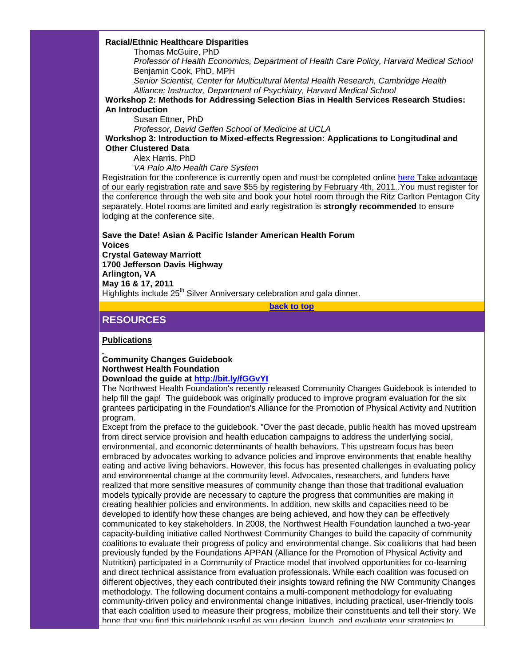#### **Racial/Ethnic Healthcare Disparities**

Thomas McGuire, PhD

*Professor of Health Economics, Department of Health Care Policy, Harvard Medical School* Benjamin Cook, PhD, MPH

*Senior Scientist, Center for Multicultural Mental Health Research, Cambridge Health Alliance; Instructor, Department of Psychiatry, Harvard Medical School*

**Workshop 2: Methods for Addressing Selection Bias in Health Services Research Studies: An Introduction**

Susan Ettner, PhD

*Professor, David Geffen School of Medicine at UCLA*

**Workshop 3: Introduction to Mixed-effects Regression: Applications to Longitudinal and Other Clustered Data**

Alex Harris, PhD

*VA Palo Alto Health Care System*

Registration for the conference is currently open and must be completed online [here](http://r20.rs6.net/tn.jsp?llr=mxxqjaeab&et=1104202727749&s=5899&e=0014zQ0MFtOI5Y3plfgstrDZClHDwgsubLnhMJlInS3gfDNt_p_VnDws3GBJx1dPh2G4YykjpB2Uy6J_smbQyhsJSwTCTa6Yuk9xBD5jAVpgC6I_ucvdSzxTHERFpTbAVw_bHKvXJ-YVaQ=) Take advantage of our early registration rate and save \$55 by registering by February 4th, 2011. You must register for the conference through the web site and book your hotel room through the Ritz Carlton Pentagon City separately. Hotel rooms are limited and early registration is **strongly recommended** to ensure lodging at the conference site.

**Save the Date! Asian & Pacific Islander American Health Forum**

**Voices**

**Crystal Gateway Marriott 1700 Jefferson Davis Highway Arlington, VA May 16 & 17, 2011** Highlights include 25<sup>th</sup> Silver Anniversary celebration and gala dinner.

**[back to top](#page-0-3)**

# <span id="page-22-0"></span>**RESOURCES**

**Publications**

#### **Community Changes Guidebook Northwest Health Foundation Download the guide at [http://bit.ly/fGGvYI](http://r20.rs6.net/tn.jsp?llr=5gytkqcab&t=99zrdneab.0.x7n9dneab.5gytkqcab.1&ts=S0585&p=http%3A%2F%2Fbit.ly%2FfGGvYI)**

The Northwest Health Foundation's recently released Community Changes Guidebook is intended to help fill the gap! The guidebook was originally produced to improve program evaluation for the six grantees participating in the Foundation's Alliance for the Promotion of Physical Activity and Nutrition program.

Except from the preface to the guidebook. "Over the past decade, public health has moved upstream from direct service provision and health education campaigns to address the underlying social, environmental, and economic determinants of health behaviors. This upstream focus has been embraced by advocates working to advance policies and improve environments that enable healthy eating and active living behaviors. However, this focus has presented challenges in evaluating policy and environmental change at the community level. Advocates, researchers, and funders have realized that more sensitive measures of community change than those that traditional evaluation models typically provide are necessary to capture the progress that communities are making in creating healthier policies and environments. In addition, new skills and capacities need to be developed to identify how these changes are being achieved, and how they can be effectively communicated to key stakeholders. In 2008, the Northwest Health Foundation launched a two-year capacity-building initiative called Northwest Community Changes to build the capacity of community coalitions to evaluate their progress of policy and environmental change. Six coalitions that had been previously funded by the Foundations APPAN (Alliance for the Promotion of Physical Activity and Nutrition) participated in a Community of Practice model that involved opportunities for co-learning and direct technical assistance from evaluation professionals. While each coalition was focused on different objectives, they each contributed their insights toward refining the NW Community Changes methodology. The following document contains a multi-component methodology for evaluating community-driven policy and environmental change initiatives, including practical, user-friendly tools that each coalition used to measure their progress, mobilize their constituents and tell their story. We hope that you find this quidebook useful as you design, launch, and evaluate your strategies to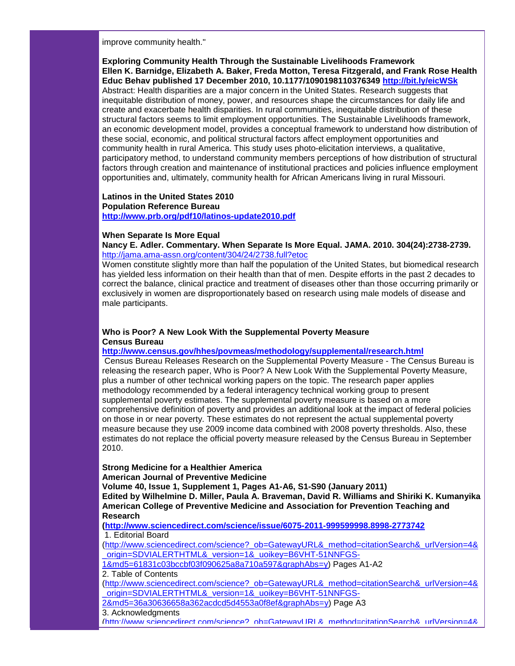improve community health."

**Exploring Community Health Through the Sustainable Livelihoods Framework Ellen K. Barnidge, Elizabeth A. Baker, Freda Motton, Teresa Fitzgerald, and Frank Rose Health Educ Behav published 17 December 2010, 10.1177/1090198110376349 [http://bit.ly/eicWSk](http://r20.rs6.net/tn.jsp?llr=5gytkqcab&t=99zrdneab.0.y7n9dneab.5gytkqcab.1&ts=S0585&p=http%3A%2F%2Fbit.ly%2FeicWSk)** Abstract: Health disparities are a major concern in the United States. Research suggests that inequitable distribution of money, power, and resources shape the circumstances for daily life and create and exacerbate health disparities. In rural communities, inequitable distribution of these structural factors seems to limit employment opportunities. The Sustainable Livelihoods framework, an economic development model, provides a conceptual framework to understand how distribution of these social, economic, and political structural factors affect employment opportunities and community health in rural America. This study uses photo-elicitation interviews, a qualitative, participatory method, to understand community members perceptions of how distribution of structural factors through creation and maintenance of institutional practices and policies influence employment opportunities and, ultimately, community health for African Americans living in rural Missouri.

**Latinos in the United States 2010 Population Reference Bureau [http://www.prb.org/pdf10/latinos-update2010.pdf](http://r20.rs6.net/tn.jsp?llr=5gytkqcab&t=99zrdneab.0.97n9dneab.5gytkqcab.1&ts=S0585&p=http%3A%2F%2Fwww.prb.org%2Fpdf10%2Flatinos-update2010.pdf)**

#### **When Separate Is More Equal**

**Nancy E. Adler. Commentary. When Separate Is More Equal. JAMA. 2010. 304(24):2738-2739.** [http://jama.ama-assn.org/content/304/24/2738.full?etoc](http://r20.rs6.net/tn.jsp?llr=5gytkqcab&t=99zrdneab.0.77n9dneab.5gytkqcab.1&ts=S0585&p=http%3A%2F%2Fjama.ama-assn.org%2Fcontent%2F304%2F24%2F2738.full%3Fetoc)

Women constitute slightly more than half the population of the United States, but biomedical research has yielded less information on their health than that of men. Despite efforts in the past 2 decades to correct the balance, clinical practice and treatment of diseases other than those occurring primarily or exclusively in women are disproportionately based on research using male models of disease and male participants.

#### **Who is Poor? A New Look With the Supplemental Poverty Measure Census Bureau**

**[http://www.census.gov/hhes/povmeas/methodology/supplemental/research.html](http://r20.rs6.net/tn.jsp?llr=5gytkqcab&t=99zrdneab.0.67n9dneab.5gytkqcab.1&ts=S0585&p=http%3A%2F%2Fwww.census.gov%2Fhhes%2Fpovmeas%2Fmethodology%2Fsupplemental%2Fresearch.html)**

Census Bureau Releases Research on the Supplemental Poverty Measure - The Census Bureau is releasing the research paper, Who is Poor? A New Look With the Supplemental Poverty Measure, plus a number of other technical working papers on the topic. The research paper applies methodology recommended by a federal interagency technical working group to present supplemental poverty estimates. The supplemental poverty measure is based on a more comprehensive definition of poverty and provides an additional look at the impact of federal policies on those in or near poverty. These estimates do not represent the actual supplemental poverty measure because they use 2009 income data combined with 2008 poverty thresholds. Also, these estimates do not replace the official poverty measure released by the Census Bureau in September 2010.

#### **Strong Medicine for a Healthier America**

**American Journal of Preventive Medicine** 

**Volume 40, Issue 1, Supplement 1, Pages A1-A6, S1-S90 (January 2011) Edited by Wilhelmine D. Miller, Paula A. Braveman, David R. Williams and Shiriki K. Kumanyika American College of Preventive Medicine and Association for Prevention Teaching and Research**

**[\(http://www.sciencedirect.com/science/issue/6075-2011-999599998.8998-2773742](http://r20.rs6.net/tn.jsp?llr=5gytkqcab&t=99zrdneab.0.57n9dneab.5gytkqcab.1&ts=S0585&p=http%3A%2F%2Fwww.sciencedirect.com%2Fscience%2Fissue%2F6075-2011-999599998.8998-2773742)** 1. Editorial Board

[\(http://www.sciencedirect.com/science?\\_ob=GatewayURL&\\_method=citationSearch&\\_urlVersion=4&](http://r20.rs6.net/tn.jsp?llr=5gytkqcab&t=99zrdneab.0.47n9dneab.5gytkqcab.1&ts=S0585&p=http%3A%2F%2Fwww.sciencedirect.com%2Fscience%3F_ob%3DGatewayURL%26_method%3DcitationSearch%26_urlVersion%3D4%26_origin%3DSDVIALERTHTML%26_version%3D1%26_uoikey%3DB6VHT-51NNFGS-1%26md5%3D61831c03bccbf03f090625a8a710a597%26graphAbs%3Dy) [\\_origin=SDVIALERTHTML&\\_version=1&\\_uoikey=B6VHT-51NNFGS-](http://r20.rs6.net/tn.jsp?llr=5gytkqcab&t=99zrdneab.0.47n9dneab.5gytkqcab.1&ts=S0585&p=http%3A%2F%2Fwww.sciencedirect.com%2Fscience%3F_ob%3DGatewayURL%26_method%3DcitationSearch%26_urlVersion%3D4%26_origin%3DSDVIALERTHTML%26_version%3D1%26_uoikey%3DB6VHT-51NNFGS-1%26md5%3D61831c03bccbf03f090625a8a710a597%26graphAbs%3Dy)

[1&md5=61831c03bccbf03f090625a8a710a597&graphAbs=y\)](http://r20.rs6.net/tn.jsp?llr=5gytkqcab&t=99zrdneab.0.47n9dneab.5gytkqcab.1&ts=S0585&p=http%3A%2F%2Fwww.sciencedirect.com%2Fscience%3F_ob%3DGatewayURL%26_method%3DcitationSearch%26_urlVersion%3D4%26_origin%3DSDVIALERTHTML%26_version%3D1%26_uoikey%3DB6VHT-51NNFGS-1%26md5%3D61831c03bccbf03f090625a8a710a597%26graphAbs%3Dy) Pages A1-A2 2. Table of Contents

[\(http://www.sciencedirect.com/science?\\_ob=GatewayURL&\\_method=citationSearch&\\_urlVersion=4&](http://r20.rs6.net/tn.jsp?llr=5gytkqcab&t=99zrdneab.0.a6n9dneab.5gytkqcab.1&ts=S0585&p=http%3A%2F%2Fwww.sciencedirect.com%2Fscience%3F_ob%3DGatewayURL%26_method%3DcitationSearch%26_urlVersion%3D4%26_origin%3DSDVIALERTHTML%26_version%3D1%26_uoikey%3DB6VHT-51NNFGS-2%26md5%3D36a30636658a362acdcd5d4553a0f8ef%26graphAbs%3Dy) origin=SDVIALERTHTML&\_version=1&\_uoikey=B6VHT-51NNFGS-

[2&md5=36a30636658a362acdcd5d4553a0f8ef&graphAbs=y\)](http://r20.rs6.net/tn.jsp?llr=5gytkqcab&t=99zrdneab.0.a6n9dneab.5gytkqcab.1&ts=S0585&p=http%3A%2F%2Fwww.sciencedirect.com%2Fscience%3F_ob%3DGatewayURL%26_method%3DcitationSearch%26_urlVersion%3D4%26_origin%3DSDVIALERTHTML%26_version%3D1%26_uoikey%3DB6VHT-51NNFGS-2%26md5%3D36a30636658a362acdcd5d4553a0f8ef%26graphAbs%3Dy) Page A3

3. Acknowledgments

[\(http://www.sciencedirect.com/science?\\_ob=GatewayURL&\\_method=citationSearch&\\_urlVersion=4&](http://r20.rs6.net/tn.jsp?llr=5gytkqcab&t=99zrdneab.0.b6n9dneab.5gytkqcab.1&ts=S0585&p=http%3A%2F%2Fwww.sciencedirect.com%2Fscience%3F_ob%3DGatewayURL%26_method%3DcitationSearch%26_urlVersion%3D4%26_origin%3DSDVIALERTHTML%26_version%3D1%26_uoikey%3DB6VHT-51NNFGS-3%26md5%3De578d97f77c5a8becc4f2d0847d43ba1%26graphAbs%3Dy)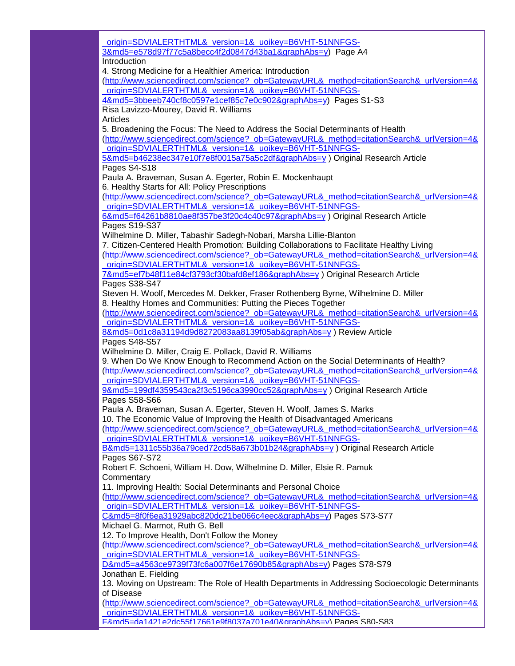origin=SDVIALERTHTML&\_version=1&\_uoikey=B6VHT-51NNFGS-3&md5=e578d97f77c5a8becc4f2d0847d43ba1&graphAbs=y) Page A4 **Introduction** 4. Strong Medicine for a Healthier America: Introduction [\(http://www.sciencedirect.com/science?\\_ob=GatewayURL&\\_method=citationSearch&\\_urlVersion=4&](http://r20.rs6.net/tn.jsp?llr=5gytkqcab&t=99zrdneab.0.c6n9dneab.5gytkqcab.1&ts=S0585&p=http%3A%2F%2Fwww.sciencedirect.com%2Fscience%3F_ob%3DGatewayURL%26_method%3DcitationSearch%26_urlVersion%3D4%26_origin%3DSDVIALERTHTML%26_version%3D1%26_uoikey%3DB6VHT-51NNFGS-4%26md5%3D3bbeeb740cf8c0597e1cef85c7e0c902%26graphAbs%3Dy) [\\_origin=SDVIALERTHTML&\\_version=1&\\_uoikey=B6VHT-51NNFGS-](http://r20.rs6.net/tn.jsp?llr=5gytkqcab&t=99zrdneab.0.c6n9dneab.5gytkqcab.1&ts=S0585&p=http%3A%2F%2Fwww.sciencedirect.com%2Fscience%3F_ob%3DGatewayURL%26_method%3DcitationSearch%26_urlVersion%3D4%26_origin%3DSDVIALERTHTML%26_version%3D1%26_uoikey%3DB6VHT-51NNFGS-4%26md5%3D3bbeeb740cf8c0597e1cef85c7e0c902%26graphAbs%3Dy)[4&md5=3bbeeb740cf8c0597e1cef85c7e0c902&graphAbs=y\)](http://r20.rs6.net/tn.jsp?llr=5gytkqcab&t=99zrdneab.0.c6n9dneab.5gytkqcab.1&ts=S0585&p=http%3A%2F%2Fwww.sciencedirect.com%2Fscience%3F_ob%3DGatewayURL%26_method%3DcitationSearch%26_urlVersion%3D4%26_origin%3DSDVIALERTHTML%26_version%3D1%26_uoikey%3DB6VHT-51NNFGS-4%26md5%3D3bbeeb740cf8c0597e1cef85c7e0c902%26graphAbs%3Dy) Pages S1-S3 Risa Lavizzo-Mourey, David R. Williams Articles 5. Broadening the Focus: The Need to Address the Social Determinants of Health [\(http://www.sciencedirect.com/science?\\_ob=GatewayURL&\\_method=citationSearch&\\_urlVersion=4&](http://r20.rs6.net/tn.jsp?llr=5gytkqcab&t=99zrdneab.0.d6n9dneab.5gytkqcab.1&ts=S0585&p=http%3A%2F%2Fwww.sciencedirect.com%2Fscience%3F_ob%3DGatewayURL%26_method%3DcitationSearch%26_urlVersion%3D4%26_origin%3DSDVIALERTHTML%26_version%3D1%26_uoikey%3DB6VHT-51NNFGS-5%26md5%3Db46238ec347e10f7e8f0015a75a5c2df%26graphAbs%3Dy) [\\_origin=SDVIALERTHTML&\\_version=1&\\_uoikey=B6VHT-51NNFGS-](http://r20.rs6.net/tn.jsp?llr=5gytkqcab&t=99zrdneab.0.d6n9dneab.5gytkqcab.1&ts=S0585&p=http%3A%2F%2Fwww.sciencedirect.com%2Fscience%3F_ob%3DGatewayURL%26_method%3DcitationSearch%26_urlVersion%3D4%26_origin%3DSDVIALERTHTML%26_version%3D1%26_uoikey%3DB6VHT-51NNFGS-5%26md5%3Db46238ec347e10f7e8f0015a75a5c2df%26graphAbs%3Dy)[5&md5=b46238ec347e10f7e8f0015a75a5c2df&graphAbs=y](http://r20.rs6.net/tn.jsp?llr=5gytkqcab&t=99zrdneab.0.d6n9dneab.5gytkqcab.1&ts=S0585&p=http%3A%2F%2Fwww.sciencedirect.com%2Fscience%3F_ob%3DGatewayURL%26_method%3DcitationSearch%26_urlVersion%3D4%26_origin%3DSDVIALERTHTML%26_version%3D1%26_uoikey%3DB6VHT-51NNFGS-5%26md5%3Db46238ec347e10f7e8f0015a75a5c2df%26graphAbs%3Dy) ) Original Research Article Pages S4-S18 Paula A. Braveman, Susan A. Egerter, Robin E. Mockenhaupt 6. Healthy Starts for All: Policy Prescriptions [\(http://www.sciencedirect.com/science?\\_ob=GatewayURL&\\_method=citationSearch&\\_urlVersion=4&](http://r20.rs6.net/tn.jsp?llr=5gytkqcab&t=99zrdneab.0.e6n9dneab.5gytkqcab.1&ts=S0585&p=http%3A%2F%2Fwww.sciencedirect.com%2Fscience%3F_ob%3DGatewayURL%26_method%3DcitationSearch%26_urlVersion%3D4%26_origin%3DSDVIALERTHTML%26_version%3D1%26_uoikey%3DB6VHT-51NNFGS-6%26md5%3Df64261b8810ae8f357be3f20c4c40c97%26graphAbs%3Dy) [\\_origin=SDVIALERTHTML&\\_version=1&\\_uoikey=B6VHT-51NNFGS-](http://r20.rs6.net/tn.jsp?llr=5gytkqcab&t=99zrdneab.0.e6n9dneab.5gytkqcab.1&ts=S0585&p=http%3A%2F%2Fwww.sciencedirect.com%2Fscience%3F_ob%3DGatewayURL%26_method%3DcitationSearch%26_urlVersion%3D4%26_origin%3DSDVIALERTHTML%26_version%3D1%26_uoikey%3DB6VHT-51NNFGS-6%26md5%3Df64261b8810ae8f357be3f20c4c40c97%26graphAbs%3Dy)[6&md5=f64261b8810ae8f357be3f20c4c40c97&graphAbs=y](http://r20.rs6.net/tn.jsp?llr=5gytkqcab&t=99zrdneab.0.e6n9dneab.5gytkqcab.1&ts=S0585&p=http%3A%2F%2Fwww.sciencedirect.com%2Fscience%3F_ob%3DGatewayURL%26_method%3DcitationSearch%26_urlVersion%3D4%26_origin%3DSDVIALERTHTML%26_version%3D1%26_uoikey%3DB6VHT-51NNFGS-6%26md5%3Df64261b8810ae8f357be3f20c4c40c97%26graphAbs%3Dy) ) Original Research Article Pages S19-S37 Wilhelmine D. Miller, Tabashir Sadegh-Nobari, Marsha Lillie-Blanton 7. Citizen-Centered Health Promotion: Building Collaborations to Facilitate Healthy Living [\(http://www.sciencedirect.com/science?\\_ob=GatewayURL&\\_method=citationSearch&\\_urlVersion=4&](http://r20.rs6.net/tn.jsp?llr=5gytkqcab&t=99zrdneab.0.g6n9dneab.5gytkqcab.1&ts=S0585&p=http%3A%2F%2Fwww.sciencedirect.com%2Fscience%3F_ob%3DGatewayURL%26_method%3DcitationSearch%26_urlVersion%3D4%26_origin%3DSDVIALERTHTML%26_version%3D1%26_uoikey%3DB6VHT-51NNFGS-7%26md5%3Def7b48f11e84cf3793cf30bafd8ef186%26graphAbs%3Dy) [\\_origin=SDVIALERTHTML&\\_version=1&\\_uoikey=B6VHT-51NNFGS-](http://r20.rs6.net/tn.jsp?llr=5gytkqcab&t=99zrdneab.0.g6n9dneab.5gytkqcab.1&ts=S0585&p=http%3A%2F%2Fwww.sciencedirect.com%2Fscience%3F_ob%3DGatewayURL%26_method%3DcitationSearch%26_urlVersion%3D4%26_origin%3DSDVIALERTHTML%26_version%3D1%26_uoikey%3DB6VHT-51NNFGS-7%26md5%3Def7b48f11e84cf3793cf30bafd8ef186%26graphAbs%3Dy)[7&md5=ef7b48f11e84cf3793cf30bafd8ef186&graphAbs=y](http://r20.rs6.net/tn.jsp?llr=5gytkqcab&t=99zrdneab.0.g6n9dneab.5gytkqcab.1&ts=S0585&p=http%3A%2F%2Fwww.sciencedirect.com%2Fscience%3F_ob%3DGatewayURL%26_method%3DcitationSearch%26_urlVersion%3D4%26_origin%3DSDVIALERTHTML%26_version%3D1%26_uoikey%3DB6VHT-51NNFGS-7%26md5%3Def7b48f11e84cf3793cf30bafd8ef186%26graphAbs%3Dy) ) Original Research Article Pages S38-S47 Steven H. Woolf, Mercedes M. Dekker, Fraser Rothenberg Byrne, Wilhelmine D. Miller 8. Healthy Homes and Communities: Putting the Pieces Together [\(http://www.sciencedirect.com/science?\\_ob=GatewayURL&\\_method=citationSearch&\\_urlVersion=4&](http://r20.rs6.net/tn.jsp?llr=5gytkqcab&t=99zrdneab.0.h6n9dneab.5gytkqcab.1&ts=S0585&p=http%3A%2F%2Fwww.sciencedirect.com%2Fscience%3F_ob%3DGatewayURL%26_method%3DcitationSearch%26_urlVersion%3D4%26_origin%3DSDVIALERTHTML%26_version%3D1%26_uoikey%3DB6VHT-51NNFGS-8%26md5%3D0d1c8a31194d9d8272083aa8139f05ab%26graphAbs%3Dy) origin=SDVIALERTHTML& version=1& uoikey=B6VHT-51NNFGS-[8&md5=0d1c8a31194d9d8272083aa8139f05ab&graphAbs=y](http://r20.rs6.net/tn.jsp?llr=5gytkqcab&t=99zrdneab.0.h6n9dneab.5gytkqcab.1&ts=S0585&p=http%3A%2F%2Fwww.sciencedirect.com%2Fscience%3F_ob%3DGatewayURL%26_method%3DcitationSearch%26_urlVersion%3D4%26_origin%3DSDVIALERTHTML%26_version%3D1%26_uoikey%3DB6VHT-51NNFGS-8%26md5%3D0d1c8a31194d9d8272083aa8139f05ab%26graphAbs%3Dy) ) Review Article Pages S48-S57 Wilhelmine D. Miller, Craig E. Pollack, David R. Williams 9. When Do We Know Enough to Recommend Action on the Social Determinants of Health? [\(http://www.sciencedirect.com/science?\\_ob=GatewayURL&\\_method=citationSearch&\\_urlVersion=4&](http://r20.rs6.net/tn.jsp?llr=5gytkqcab&t=99zrdneab.0.i6n9dneab.5gytkqcab.1&ts=S0585&p=http%3A%2F%2Fwww.sciencedirect.com%2Fscience%3F_ob%3DGatewayURL%26_method%3DcitationSearch%26_urlVersion%3D4%26_origin%3DSDVIALERTHTML%26_version%3D1%26_uoikey%3DB6VHT-51NNFGS-9%26md5%3D199df4359543ca2f3c5196ca3990cc52%26graphAbs%3Dy) [\\_origin=SDVIALERTHTML&\\_version=1&\\_uoikey=B6VHT-51NNFGS-](http://r20.rs6.net/tn.jsp?llr=5gytkqcab&t=99zrdneab.0.i6n9dneab.5gytkqcab.1&ts=S0585&p=http%3A%2F%2Fwww.sciencedirect.com%2Fscience%3F_ob%3DGatewayURL%26_method%3DcitationSearch%26_urlVersion%3D4%26_origin%3DSDVIALERTHTML%26_version%3D1%26_uoikey%3DB6VHT-51NNFGS-9%26md5%3D199df4359543ca2f3c5196ca3990cc52%26graphAbs%3Dy)[9&md5=199df4359543ca2f3c5196ca3990cc52&graphAbs=y](http://r20.rs6.net/tn.jsp?llr=5gytkqcab&t=99zrdneab.0.i6n9dneab.5gytkqcab.1&ts=S0585&p=http%3A%2F%2Fwww.sciencedirect.com%2Fscience%3F_ob%3DGatewayURL%26_method%3DcitationSearch%26_urlVersion%3D4%26_origin%3DSDVIALERTHTML%26_version%3D1%26_uoikey%3DB6VHT-51NNFGS-9%26md5%3D199df4359543ca2f3c5196ca3990cc52%26graphAbs%3Dy) ) Original Research Article Pages S58-S66 Paula A. Braveman, Susan A. Egerter, Steven H. Woolf, James S. Marks 10. The Economic Value of Improving the Health of Disadvantaged Americans [\(http://www.sciencedirect.com/science?\\_ob=GatewayURL&\\_method=citationSearch&\\_urlVersion=4&](http://r20.rs6.net/tn.jsp?llr=5gytkqcab&t=99zrdneab.0.j6n9dneab.5gytkqcab.1&ts=S0585&p=http%3A%2F%2Fwww.sciencedirect.com%2Fscience%3F_ob%3DGatewayURL%26_method%3DcitationSearch%26_urlVersion%3D4%26_origin%3DSDVIALERTHTML%26_version%3D1%26_uoikey%3DB6VHT-51NNFGS-B%26md5%3D1311c55b36a79ced72cd58a673b01b24%26graphAbs%3Dy) [\\_origin=SDVIALERTHTML&\\_version=1&\\_uoikey=B6VHT-51NNFGS-](http://r20.rs6.net/tn.jsp?llr=5gytkqcab&t=99zrdneab.0.j6n9dneab.5gytkqcab.1&ts=S0585&p=http%3A%2F%2Fwww.sciencedirect.com%2Fscience%3F_ob%3DGatewayURL%26_method%3DcitationSearch%26_urlVersion%3D4%26_origin%3DSDVIALERTHTML%26_version%3D1%26_uoikey%3DB6VHT-51NNFGS-B%26md5%3D1311c55b36a79ced72cd58a673b01b24%26graphAbs%3Dy)[B&md5=1311c55b36a79ced72cd58a673b01b24&graphAbs=y](http://r20.rs6.net/tn.jsp?llr=5gytkqcab&t=99zrdneab.0.j6n9dneab.5gytkqcab.1&ts=S0585&p=http%3A%2F%2Fwww.sciencedirect.com%2Fscience%3F_ob%3DGatewayURL%26_method%3DcitationSearch%26_urlVersion%3D4%26_origin%3DSDVIALERTHTML%26_version%3D1%26_uoikey%3DB6VHT-51NNFGS-B%26md5%3D1311c55b36a79ced72cd58a673b01b24%26graphAbs%3Dy) ) Original Research Article Pages S67-S72 Robert F. Schoeni, William H. Dow, Wilhelmine D. Miller, Elsie R. Pamuk **Commentary** 11. Improving Health: Social Determinants and Personal Choice [\(http://www.sciencedirect.com/science?\\_ob=GatewayURL&\\_method=citationSearch&\\_urlVersion=4&](http://r20.rs6.net/tn.jsp?llr=5gytkqcab&t=99zrdneab.0.k6n9dneab.5gytkqcab.1&ts=S0585&p=http%3A%2F%2Fwww.sciencedirect.com%2Fscience%3F_ob%3DGatewayURL%26_method%3DcitationSearch%26_urlVersion%3D4%26_origin%3DSDVIALERTHTML%26_version%3D1%26_uoikey%3DB6VHT-51NNFGS-C%26md5%3D8f0f6ea31929abc820dc21be066c4eec%26graphAbs%3Dy) [\\_origin=SDVIALERTHTML&\\_version=1&\\_uoikey=B6VHT-51NNFGS-](http://r20.rs6.net/tn.jsp?llr=5gytkqcab&t=99zrdneab.0.k6n9dneab.5gytkqcab.1&ts=S0585&p=http%3A%2F%2Fwww.sciencedirect.com%2Fscience%3F_ob%3DGatewayURL%26_method%3DcitationSearch%26_urlVersion%3D4%26_origin%3DSDVIALERTHTML%26_version%3D1%26_uoikey%3DB6VHT-51NNFGS-C%26md5%3D8f0f6ea31929abc820dc21be066c4eec%26graphAbs%3Dy)[C&md5=8f0f6ea31929abc820dc21be066c4eec&graphAbs=y\)](http://r20.rs6.net/tn.jsp?llr=5gytkqcab&t=99zrdneab.0.k6n9dneab.5gytkqcab.1&ts=S0585&p=http%3A%2F%2Fwww.sciencedirect.com%2Fscience%3F_ob%3DGatewayURL%26_method%3DcitationSearch%26_urlVersion%3D4%26_origin%3DSDVIALERTHTML%26_version%3D1%26_uoikey%3DB6VHT-51NNFGS-C%26md5%3D8f0f6ea31929abc820dc21be066c4eec%26graphAbs%3Dy) Pages S73-S77 Michael G. Marmot, Ruth G. Bell 12. To Improve Health, Don't Follow the Money [\(http://www.sciencedirect.com/science?\\_ob=GatewayURL&\\_method=citationSearch&\\_urlVersion=4&](http://r20.rs6.net/tn.jsp?llr=5gytkqcab&t=99zrdneab.0.l6n9dneab.5gytkqcab.1&ts=S0585&p=http%3A%2F%2Fwww.sciencedirect.com%2Fscience%3F_ob%3DGatewayURL%26_method%3DcitationSearch%26_urlVersion%3D4%26_origin%3DSDVIALERTHTML%26_version%3D1%26_uoikey%3DB6VHT-51NNFGS-D%26md5%3Da4563ce9739f73fc6a007f6e17690b85%26graphAbs%3Dy) [\\_origin=SDVIALERTHTML&\\_version=1&\\_uoikey=B6VHT-51NNFGS-](http://r20.rs6.net/tn.jsp?llr=5gytkqcab&t=99zrdneab.0.l6n9dneab.5gytkqcab.1&ts=S0585&p=http%3A%2F%2Fwww.sciencedirect.com%2Fscience%3F_ob%3DGatewayURL%26_method%3DcitationSearch%26_urlVersion%3D4%26_origin%3DSDVIALERTHTML%26_version%3D1%26_uoikey%3DB6VHT-51NNFGS-D%26md5%3Da4563ce9739f73fc6a007f6e17690b85%26graphAbs%3Dy)[D&md5=a4563ce9739f73fc6a007f6e17690b85&graphAbs=y\)](http://r20.rs6.net/tn.jsp?llr=5gytkqcab&t=99zrdneab.0.l6n9dneab.5gytkqcab.1&ts=S0585&p=http%3A%2F%2Fwww.sciencedirect.com%2Fscience%3F_ob%3DGatewayURL%26_method%3DcitationSearch%26_urlVersion%3D4%26_origin%3DSDVIALERTHTML%26_version%3D1%26_uoikey%3DB6VHT-51NNFGS-D%26md5%3Da4563ce9739f73fc6a007f6e17690b85%26graphAbs%3Dy) Pages S78-S79 Jonathan E. Fielding 13. Moving on Upstream: The Role of Health Departments in Addressing Socioecologic Determinants of Disease [\(http://www.sciencedirect.com/science?\\_ob=GatewayURL&\\_method=citationSearch&\\_urlVersion=4&](http://r20.rs6.net/tn.jsp?llr=5gytkqcab&t=99zrdneab.0.m6n9dneab.5gytkqcab.1&ts=S0585&p=http%3A%2F%2Fwww.sciencedirect.com%2Fscience%3F_ob%3DGatewayURL%26_method%3DcitationSearch%26_urlVersion%3D4%26_origin%3DSDVIALERTHTML%26_version%3D1%26_uoikey%3DB6VHT-51NNFGS-F%26md5%3Dda1421e2dc55f17661e9f8037a701e40%26graphAbs%3Dy) [\\_origin=SDVIALERTHTML&\\_version=1&\\_uoikey=B6VHT-51NNFGS-](http://r20.rs6.net/tn.jsp?llr=5gytkqcab&t=99zrdneab.0.m6n9dneab.5gytkqcab.1&ts=S0585&p=http%3A%2F%2Fwww.sciencedirect.com%2Fscience%3F_ob%3DGatewayURL%26_method%3DcitationSearch%26_urlVersion%3D4%26_origin%3DSDVIALERTHTML%26_version%3D1%26_uoikey%3DB6VHT-51NNFGS-F%26md5%3Dda1421e2dc55f17661e9f8037a701e40%26graphAbs%3Dy)[F&md5=da1421e2dc55f17661e9f8037a701e40&graphAbs=y\)](http://r20.rs6.net/tn.jsp?llr=5gytkqcab&t=99zrdneab.0.m6n9dneab.5gytkqcab.1&ts=S0585&p=http%3A%2F%2Fwww.sciencedirect.com%2Fscience%3F_ob%3DGatewayURL%26_method%3DcitationSearch%26_urlVersion%3D4%26_origin%3DSDVIALERTHTML%26_version%3D1%26_uoikey%3DB6VHT-51NNFGS-F%26md5%3Dda1421e2dc55f17661e9f8037a701e40%26graphAbs%3Dy) Pages S80-S83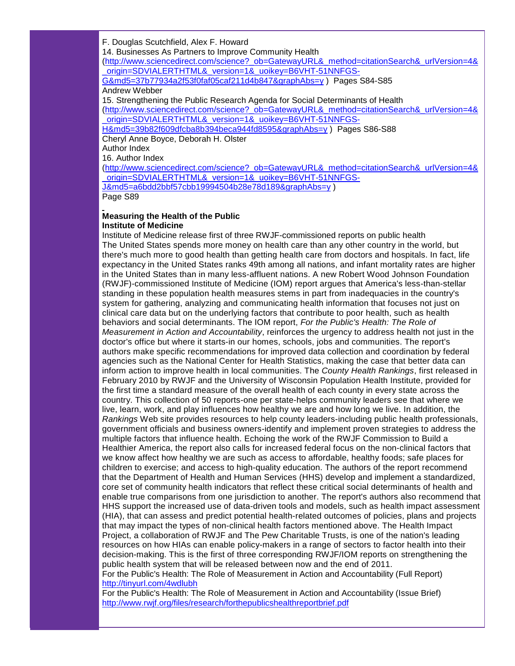F. Douglas Scutchfield, Alex F. Howard 14. Businesses As Partners to Improve Community Health [\(http://www.sciencedirect.com/science?\\_ob=GatewayURL&\\_method=citationSearch&\\_urlVersion=4&](http://r20.rs6.net/tn.jsp?llr=5gytkqcab&t=99zrdneab.0.o6n9dneab.5gytkqcab.1&ts=S0585&p=http%3A%2F%2Fwww.sciencedirect.com%2Fscience%3F_ob%3DGatewayURL%26_method%3DcitationSearch%26_urlVersion%3D4%26_origin%3DSDVIALERTHTML%26_version%3D1%26_uoikey%3DB6VHT-51NNFGS-G%26md5%3D37b77934a2f53f0faf05caf211d4b847%26graphAbs%3Dy) [\\_origin=SDVIALERTHTML&\\_version=1&\\_uoikey=B6VHT-51NNFGS-](http://r20.rs6.net/tn.jsp?llr=5gytkqcab&t=99zrdneab.0.o6n9dneab.5gytkqcab.1&ts=S0585&p=http%3A%2F%2Fwww.sciencedirect.com%2Fscience%3F_ob%3DGatewayURL%26_method%3DcitationSearch%26_urlVersion%3D4%26_origin%3DSDVIALERTHTML%26_version%3D1%26_uoikey%3DB6VHT-51NNFGS-G%26md5%3D37b77934a2f53f0faf05caf211d4b847%26graphAbs%3Dy)

[G&md5=37b77934a2f53f0faf05caf211d4b847&graphAbs=y](http://r20.rs6.net/tn.jsp?llr=5gytkqcab&t=99zrdneab.0.o6n9dneab.5gytkqcab.1&ts=S0585&p=http%3A%2F%2Fwww.sciencedirect.com%2Fscience%3F_ob%3DGatewayURL%26_method%3DcitationSearch%26_urlVersion%3D4%26_origin%3DSDVIALERTHTML%26_version%3D1%26_uoikey%3DB6VHT-51NNFGS-G%26md5%3D37b77934a2f53f0faf05caf211d4b847%26graphAbs%3Dy) ) Pages S84-S85 Andrew Webber

15. Strengthening the Public Research Agenda for Social Determinants of Health [\(http://www.sciencedirect.com/science?\\_ob=GatewayURL&\\_method=citationSearch&\\_urlVersion=4&](http://r20.rs6.net/tn.jsp?llr=5gytkqcab&t=99zrdneab.0.p6n9dneab.5gytkqcab.1&ts=S0585&p=http%3A%2F%2Fwww.sciencedirect.com%2Fscience%3F_ob%3DGatewayURL%26_method%3DcitationSearch%26_urlVersion%3D4%26_origin%3DSDVIALERTHTML%26_version%3D1%26_uoikey%3DB6VHT-51NNFGS-H%26md5%3D39b82f609dfcba8b394beca944fd8595%26graphAbs%3Dy)

[\\_origin=SDVIALERTHTML&\\_version=1&\\_uoikey=B6VHT-51NNFGS-](http://r20.rs6.net/tn.jsp?llr=5gytkqcab&t=99zrdneab.0.p6n9dneab.5gytkqcab.1&ts=S0585&p=http%3A%2F%2Fwww.sciencedirect.com%2Fscience%3F_ob%3DGatewayURL%26_method%3DcitationSearch%26_urlVersion%3D4%26_origin%3DSDVIALERTHTML%26_version%3D1%26_uoikey%3DB6VHT-51NNFGS-H%26md5%3D39b82f609dfcba8b394beca944fd8595%26graphAbs%3Dy)

[H&md5=39b82f609dfcba8b394beca944fd8595&graphAbs=y](http://r20.rs6.net/tn.jsp?llr=5gytkqcab&t=99zrdneab.0.p6n9dneab.5gytkqcab.1&ts=S0585&p=http%3A%2F%2Fwww.sciencedirect.com%2Fscience%3F_ob%3DGatewayURL%26_method%3DcitationSearch%26_urlVersion%3D4%26_origin%3DSDVIALERTHTML%26_version%3D1%26_uoikey%3DB6VHT-51NNFGS-H%26md5%3D39b82f609dfcba8b394beca944fd8595%26graphAbs%3Dy) ) Pages S86-S88 Cheryl Anne Boyce, Deborah H. Olster

Author Index

16. Author Index

[\(http://www.sciencedirect.com/science?\\_ob=GatewayURL&\\_method=citationSearch&\\_urlVersion=4&](http://r20.rs6.net/tn.jsp?llr=5gytkqcab&t=99zrdneab.0.q6n9dneab.5gytkqcab.1&ts=S0585&p=http%3A%2F%2Fwww.sciencedirect.com%2Fscience%3F_ob%3DGatewayURL%26_method%3DcitationSearch%26_urlVersion%3D4%26_origin%3DSDVIALERTHTML%26_version%3D1%26_uoikey%3DB6VHT-51NNFGS-J%26md5%3Da6bdd2bbf57cbb19994504b28e78d189%26graphAbs%3Dy) [\\_origin=SDVIALERTHTML&\\_version=1&\\_uoikey=B6VHT-51NNFGS-](http://r20.rs6.net/tn.jsp?llr=5gytkqcab&t=99zrdneab.0.q6n9dneab.5gytkqcab.1&ts=S0585&p=http%3A%2F%2Fwww.sciencedirect.com%2Fscience%3F_ob%3DGatewayURL%26_method%3DcitationSearch%26_urlVersion%3D4%26_origin%3DSDVIALERTHTML%26_version%3D1%26_uoikey%3DB6VHT-51NNFGS-J%26md5%3Da6bdd2bbf57cbb19994504b28e78d189%26graphAbs%3Dy)[J&md5=a6bdd2bbf57cbb19994504b28e78d189&graphAbs=y](http://r20.rs6.net/tn.jsp?llr=5gytkqcab&t=99zrdneab.0.q6n9dneab.5gytkqcab.1&ts=S0585&p=http%3A%2F%2Fwww.sciencedirect.com%2Fscience%3F_ob%3DGatewayURL%26_method%3DcitationSearch%26_urlVersion%3D4%26_origin%3DSDVIALERTHTML%26_version%3D1%26_uoikey%3DB6VHT-51NNFGS-J%26md5%3Da6bdd2bbf57cbb19994504b28e78d189%26graphAbs%3Dy) )

Page S89

#### **Measuring the Health of the Public Institute of Medicine**

Institute of Medicine release first of three RWJF-commissioned reports on public health The United States spends more money on health care than any other country in the world, but there's much more to good health than getting health care from doctors and hospitals. In fact, life expectancy in the United States ranks 49th among all nations, and infant mortality rates are higher in the United States than in many less-affluent nations. A new Robert Wood Johnson Foundation (RWJF)-commissioned Institute of Medicine (IOM) report argues that America's less-than-stellar standing in these population health measures stems in part from inadequacies in the country's system for gathering, analyzing and communicating health information that focuses not just on clinical care data but on the underlying factors that contribute to poor health, such as health behaviors and social determinants. The IOM report, *For the Public's Health: The Role of Measurement in Action and Accountability*, reinforces the urgency to address health not just in the doctor's office but where it starts-in our homes, schools, jobs and communities. The report's authors make specific recommendations for improved data collection and coordination by federal agencies such as the National Center for Health Statistics, making the case that better data can inform action to improve health in local communities. The *County Health Rankings*, first released in February 2010 by RWJF and the University of Wisconsin Population Health Institute, provided for the first time a standard measure of the overall health of each county in every state across the country. This collection of 50 reports-one per state-helps community leaders see that where we live, learn, work, and play influences how healthy we are and how long we live. In addition, the *Rankings* Web site provides resources to help county leaders-including public health professionals, government officials and business owners-identify and implement proven strategies to address the multiple factors that influence health. Echoing the work of the RWJF Commission to Build a Healthier America, the report also calls for increased federal focus on the non-clinical factors that we know affect how healthy we are such as access to affordable, healthy foods; safe places for children to exercise; and access to high-quality education. The authors of the report recommend that the Department of Health and Human Services (HHS) develop and implement a standardized, core set of community health indicators that reflect these critical social determinants of health and enable true comparisons from one jurisdiction to another. The report's authors also recommend that HHS support the increased use of data-driven tools and models, such as health impact assessment (HIA), that can assess and predict potential health-related outcomes of policies, plans and projects that may impact the types of non-clinical health factors mentioned above. The Health Impact Project, a collaboration of RWJF and The Pew Charitable Trusts, is one of the nation's leading resources on how HIAs can enable policy-makers in a range of sectors to factor health into their decision-making. This is the first of three corresponding RWJF/IOM reports on strengthening the public health system that will be released between now and the end of 2011.

For the Public's Health: The Role of Measurement in Action and Accountability (Full Report) [http://tinyurl.com/4wdlubh](http://r20.rs6.net/tn.jsp?llr=5gytkqcab&t=99zrdneab.0.r6n9dneab.5gytkqcab.1&ts=S0585&p=http%3A%2F%2Ftinyurl.com%2F4wdlubh)

For the Public's Health: The Role of Measurement in Action and Accountability (Issue Brief) [http://www.rwjf.org/files/research/forthepublicshealthreportbrief.pdf](http://r20.rs6.net/tn.jsp?llr=5gytkqcab&t=99zrdneab.0.t6n9dneab.5gytkqcab.1&ts=S0585&p=http%3A%2F%2Fwww.rwjf.org%2Ffiles%2Fresearch%2Fforthepublicshealthreportbrief.pdf)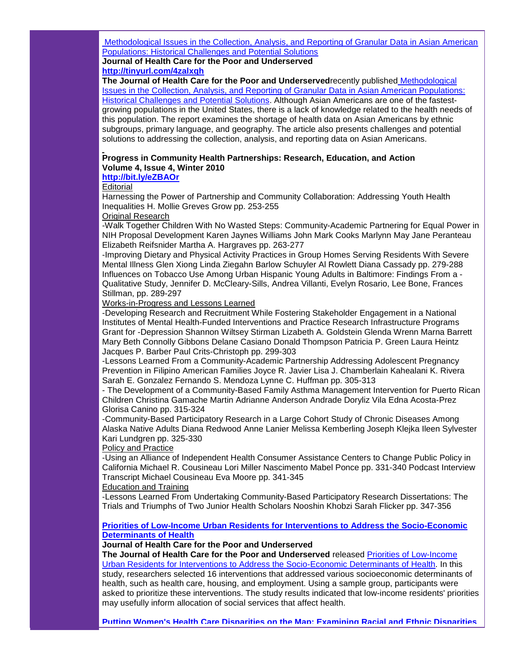[Methodological Issues in the Collection, Analysis, and Reporting of Granular Data in Asian American](http://r20.rs6.net/tn.jsp?llr=5gytkqcab&t=99zrdneab.0.u6n9dneab.5gytkqcab.1&ts=S0585&p=http%3A%2F%2Fmuse.jhu.edu%2Fjournals%2Fjournal_of_health_care_for_the_poor_and_underserved%2Fsummary%2Fv021%2F21.4.islam.html)  [Populations: Historical Challenges and Potential Solutions](http://r20.rs6.net/tn.jsp?llr=5gytkqcab&t=99zrdneab.0.u6n9dneab.5gytkqcab.1&ts=S0585&p=http%3A%2F%2Fmuse.jhu.edu%2Fjournals%2Fjournal_of_health_care_for_the_poor_and_underserved%2Fsummary%2Fv021%2F21.4.islam.html)

**Journal of Health Care for the Poor and Underserved [http://tinyurl.com/4zalxqh](http://r20.rs6.net/tn.jsp?llr=5gytkqcab&t=99zrdneab.0.v6n9dneab.5gytkqcab.1&ts=S0585&p=http%3A%2F%2Ftinyurl.com%2F4zalxqh)**

**The Journal of Health Care for the Poor and Underserved**recently published [Methodological](http://r20.rs6.net/tn.jsp?llr=5gytkqcab&t=99zrdneab.0.u6n9dneab.5gytkqcab.1&ts=S0585&p=http%3A%2F%2Fmuse.jhu.edu%2Fjournals%2Fjournal_of_health_care_for_the_poor_and_underserved%2Fsummary%2Fv021%2F21.4.islam.html)  [Issues in the Collection, Analysis, and Reporting of Granular Data in Asian American Populations:](http://r20.rs6.net/tn.jsp?llr=5gytkqcab&t=99zrdneab.0.u6n9dneab.5gytkqcab.1&ts=S0585&p=http%3A%2F%2Fmuse.jhu.edu%2Fjournals%2Fjournal_of_health_care_for_the_poor_and_underserved%2Fsummary%2Fv021%2F21.4.islam.html)  [Historical Challenges and Potential Solutions.](http://r20.rs6.net/tn.jsp?llr=5gytkqcab&t=99zrdneab.0.u6n9dneab.5gytkqcab.1&ts=S0585&p=http%3A%2F%2Fmuse.jhu.edu%2Fjournals%2Fjournal_of_health_care_for_the_poor_and_underserved%2Fsummary%2Fv021%2F21.4.islam.html) Although Asian Americans are one of the fastestgrowing populations in the United States, there is a lack of knowledge related to the health needs of this population. The report examines the shortage of health data on Asian Americans by ethnic subgroups, primary language, and geography. The article also presents challenges and potential solutions to addressing the collection, analysis, and reporting data on Asian Americans.

# **Progress in Community Health Partnerships: Research, Education, and Action Volume 4, Issue 4, Winter 2010**

# **[http://bit.ly/eZBAOr](http://r20.rs6.net/tn.jsp?llr=5gytkqcab&t=99zrdneab.0.w6n9dneab.5gytkqcab.1&ts=S0585&p=http%3A%2F%2Fbit.ly%2FeZBAOr)**

**Editorial** 

Harnessing the Power of Partnership and Community Collaboration: Addressing Youth Health Inequalities H. Mollie Greves Grow pp. 253-255

Original Research

-Walk Together Children With No Wasted Steps: Community-Academic Partnering for Equal Power in NIH Proposal Development Karen Jaynes Williams John Mark Cooks Marlynn May Jane Peranteau Elizabeth Reifsnider Martha A. Hargraves pp. 263-277

-Improving Dietary and Physical Activity Practices in Group Homes Serving Residents With Severe Mental Illness Glen Xiong Linda Ziegahn Barlow Schuyler Al Rowlett Diana Cassady pp. 279-288 Influences on Tobacco Use Among Urban Hispanic Young Adults in Baltimore: Findings From a - Qualitative Study, Jennifer D. McCleary-Sills, Andrea Villanti, Evelyn Rosario, Lee Bone, Frances Stillman, pp. 289-297

Works-in-Progress and Lessons Learned

-Developing Research and Recruitment While Fostering Stakeholder Engagement in a National Institutes of Mental Health-Funded Interventions and Practice Research Infrastructure Programs Grant for -Depression Shannon Wiltsey Stirman Lizabeth A. Goldstein Glenda Wrenn Marna Barrett Mary Beth Connolly Gibbons Delane Casiano Donald Thompson Patricia P. Green Laura Heintz Jacques P. Barber Paul Crits-Christoph pp. 299-303

-Lessons Learned From a Community-Academic Partnership Addressing Adolescent Pregnancy Prevention in Filipino American Families Joyce R. Javier Lisa J. Chamberlain Kahealani K. Rivera Sarah E. Gonzalez Fernando S. Mendoza Lynne C. Huffman pp. 305-313

- The Development of a Community-Based Family Asthma Management Intervention for Puerto Rican Children Christina Gamache Martin Adrianne Anderson Andrade Doryliz Vila Edna Acosta-Prez Glorisa Canino pp. 315-324

-Community-Based Participatory Research in a Large Cohort Study of Chronic Diseases Among Alaska Native Adults Diana Redwood Anne Lanier Melissa Kemberling Joseph Klejka Ileen Sylvester Kari Lundgren pp. 325-330

#### Policy and Practice

-Using an Alliance of Independent Health Consumer Assistance Centers to Change Public Policy in California Michael R. Cousineau Lori Miller Nascimento Mabel Ponce pp. 331-340 Podcast Interview Transcript Michael Cousineau Eva Moore pp. 341-345

Education and Training

-Lessons Learned From Undertaking Community-Based Participatory Research Dissertations: The Trials and Triumphs of Two Junior Health Scholars Nooshin Khobzi Sarah Flicker pp. 347-356

## **[Priorities of Low-Income Urban Residents for Interventions to Address the Socio-Economic](http://r20.rs6.net/tn.jsp?llr=5gytkqcab&t=99zrdneab.0.x6n9dneab.5gytkqcab.1&ts=S0585&p=http%3A%2F%2Fmuse.jhu.edu%2Fjournals%2Fjournal_of_health_care_for_the_poor_and_underserved%2Fsummary%2Fv021%2F21.4.danis.html)  [Determinants of Health](http://r20.rs6.net/tn.jsp?llr=5gytkqcab&t=99zrdneab.0.x6n9dneab.5gytkqcab.1&ts=S0585&p=http%3A%2F%2Fmuse.jhu.edu%2Fjournals%2Fjournal_of_health_care_for_the_poor_and_underserved%2Fsummary%2Fv021%2F21.4.danis.html)**

#### **Journal of Health Care for the Poor and Underserved**

**The Journal of Health Care for the Poor and Underserved** released [Priorities of Low-Income](http://r20.rs6.net/tn.jsp?llr=5gytkqcab&t=99zrdneab.0.x6n9dneab.5gytkqcab.1&ts=S0585&p=http%3A%2F%2Fmuse.jhu.edu%2Fjournals%2Fjournal_of_health_care_for_the_poor_and_underserved%2Fsummary%2Fv021%2F21.4.danis.html)  [Urban Residents for Interventions to Address the Socio-Economic Determinants of Health.](http://r20.rs6.net/tn.jsp?llr=5gytkqcab&t=99zrdneab.0.x6n9dneab.5gytkqcab.1&ts=S0585&p=http%3A%2F%2Fmuse.jhu.edu%2Fjournals%2Fjournal_of_health_care_for_the_poor_and_underserved%2Fsummary%2Fv021%2F21.4.danis.html) In this study, researchers selected 16 interventions that addressed various socioeconomic determinants of health, such as health care, housing, and employment. Using a sample group, participants were asked to prioritize these interventions. The study results indicated that low-income residents' priorities may usefully inform allocation of social services that affect health.

**[Putting Women's Health Care Disparities on the Map: Examining Racial and Ethnic Disparities](http://r20.rs6.net/tn.jsp?llr=5gytkqcab&t=99zrdneab.0.y6n9dneab.5gytkqcab.1&ts=S0585&p=http%3A%2F%2Fwww.kff.org%2Fminorityhealth%2F7886.cfm)**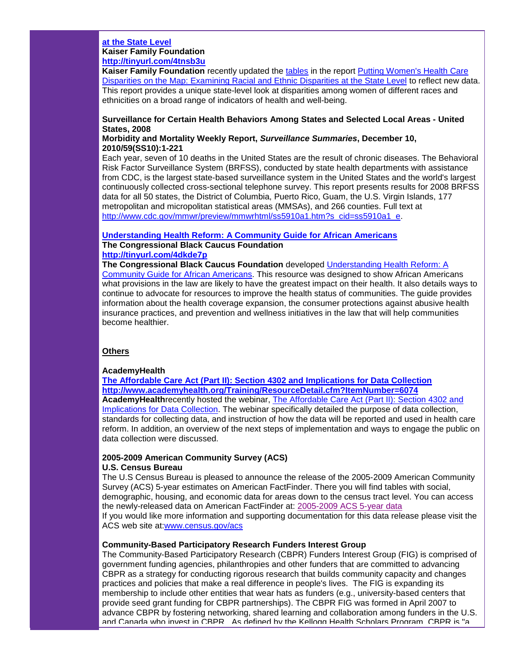#### **at the State Level Kaiser Family Foundation [http://tinyurl.com/4tnsb3u](http://r20.rs6.net/tn.jsp?llr=5gytkqcab&t=99zrdneab.0.z6n9dneab.5gytkqcab.1&ts=S0585&p=http%3A%2F%2Ftinyurl.com%2F4tnsb3u)**

**Kaiser Family Foundation** recently updated the [tables](http://r20.rs6.net/tn.jsp?llr=5gytkqcab&t=99zrdneab.0.f4epv6cab.5gytkqcab.1&ts=S0585&p=http%3A%2F%2Fwww.statehealthfacts.org%2Fwomen.jsp) in the report [Putting Women's Health Care](http://r20.rs6.net/tn.jsp?llr=5gytkqcab&t=99zrdneab.0.y6n9dneab.5gytkqcab.1&ts=S0585&p=http%3A%2F%2Fwww.kff.org%2Fminorityhealth%2F7886.cfm)  [Disparities on the Map: Examining Racial and Ethnic Disparities at the State Level](http://r20.rs6.net/tn.jsp?llr=5gytkqcab&t=99zrdneab.0.y6n9dneab.5gytkqcab.1&ts=S0585&p=http%3A%2F%2Fwww.kff.org%2Fminorityhealth%2F7886.cfm) to reflect new data. This report provides a unique state-level look at disparities among women of different races and ethnicities on a broad range of indicators of health and well-being.

# **Surveillance for Certain Health Behaviors Among States and Selected Local Areas - United States, 2008**

#### **Morbidity and Mortality Weekly Report,** *Surveillance Summaries***, December 10, 2010/59(SS10):1-221**

Each year, seven of 10 deaths in the United States are the result of chronic diseases. The Behavioral Risk Factor Surveillance System (BRFSS), conducted by state health departments with assistance from CDC, is the largest state-based surveillance system in the United States and the world's largest continuously collected cross-sectional telephone survey. This report presents results for 2008 BRFSS data for all 50 states, the District of Columbia, Puerto Rico, Guam, the U.S. Virgin Islands, 177 metropolitan and micropolitan statistical areas (MMSAs), and 266 counties. Full text at [http://www.cdc.gov/mmwr/preview/mmwrhtml/ss5910a1.htm?s\\_cid=ss5910a1\\_e.](http://r20.rs6.net/tn.jsp?llr=5gytkqcab&t=99zrdneab.0.96n9dneab.5gytkqcab.1&ts=S0585&p=http%3A%2F%2Fwww.cdc.gov%2Fmmwr%2Fpreview%2Fmmwrhtml%2Fss5910a1.htm%3Fs_cid%3Dss5910a1_e)

# **[Understanding Health Reform: A Community Guide for African Americans](http://r20.rs6.net/tn.jsp?llr=5gytkqcab&t=99zrdneab.0.86n9dneab.5gytkqcab.1&ts=S0585&p=http%3A%2F%2Fcbcfinc.org%2Fimages%2Fpdf%2FCBCF%2520Health%2520Reform%2520Guide%2520FINAL%252011-18-10.pdf) The Congressional Black Caucus Foundation**

# **[http://tinyurl.com/4dkde7p](http://r20.rs6.net/tn.jsp?llr=5gytkqcab&t=99zrdneab.0.66n9dneab.5gytkqcab.1&ts=S0585&p=http%3A%2F%2Ftinyurl.com%2F4dkde7p)**

**The Congressional Black Caucus Foundation** developed [Understanding Health Reform: A](http://r20.rs6.net/tn.jsp?llr=5gytkqcab&t=99zrdneab.0.86n9dneab.5gytkqcab.1&ts=S0585&p=http%3A%2F%2Fcbcfinc.org%2Fimages%2Fpdf%2FCBCF%2520Health%2520Reform%2520Guide%2520FINAL%252011-18-10.pdf) 

[Community Guide for African Americans.](http://r20.rs6.net/tn.jsp?llr=5gytkqcab&t=99zrdneab.0.86n9dneab.5gytkqcab.1&ts=S0585&p=http%3A%2F%2Fcbcfinc.org%2Fimages%2Fpdf%2FCBCF%2520Health%2520Reform%2520Guide%2520FINAL%252011-18-10.pdf) This resource was designed to show African Americans what provisions in the law are likely to have the greatest impact on their health. It also details ways to continue to advocate for resources to improve the health status of communities. The guide provides information about the health coverage expansion, the consumer protections against abusive health insurance practices, and prevention and wellness initiatives in the law that will help communities become healthier.

# **Others**

#### **AcademyHealth**

**[The Affordable Care Act \(Part II\): Section 4302 and Implications for Data Collection](http://r20.rs6.net/tn.jsp?llr=5gytkqcab&t=99zrdneab.0.56n9dneab.5gytkqcab.1&ts=S0585&p=http%3A%2F%2Fwww.academyhealth.org%2FTraining%2FResourceDetail.cfm%3FItemNumber%3D6074) [http://www.academyhealth.org/Training/ResourceDetail.cfm?ItemNumber=6074](http://r20.rs6.net/tn.jsp?llr=5gytkqcab&t=99zrdneab.0.56n9dneab.5gytkqcab.1&ts=S0585&p=http%3A%2F%2Fwww.academyhealth.org%2FTraining%2FResourceDetail.cfm%3FItemNumber%3D6074) AcademyHealth**recently hosted the webinar, [The Affordable Care Act \(Part II\): Section 4302 and](http://r20.rs6.net/tn.jsp?llr=5gytkqcab&t=99zrdneab.0.56n9dneab.5gytkqcab.1&ts=S0585&p=http%3A%2F%2Fwww.academyhealth.org%2FTraining%2FResourceDetail.cfm%3FItemNumber%3D6074)  [Implications for Data Collection.](http://r20.rs6.net/tn.jsp?llr=5gytkqcab&t=99zrdneab.0.56n9dneab.5gytkqcab.1&ts=S0585&p=http%3A%2F%2Fwww.academyhealth.org%2FTraining%2FResourceDetail.cfm%3FItemNumber%3D6074) The webinar specifically detailed the purpose of data collection, standards for collecting data, and instruction of how the data will be reported and used in health care reform. In addition, an overview of the next steps of implementation and ways to engage the public on data collection were discussed.

# **2005-2009 American Community Survey (ACS)**

# **U.S. Census Bureau**

The U.S Census Bureau is pleased to announce the release of the 2005-2009 American Community Survey (ACS) 5-year estimates on American FactFinder. There you will find tables with social, demographic, housing, and economic data for areas down to the census tract level. You can access the newly-released data on American FactFinder at: [2005-2009 ACS 5-year data](http://r20.rs6.net/tn.jsp?llr=5gytkqcab&t=99zrdneab.0.46n9dneab.5gytkqcab.1&ts=S0585&p=http%3A%2F%2Flinks.govdelivery.com%2Ftrack%3Ftype%3Dclick%26enid%3DbWFpbGluZ2lkPTExMjQ2MTImbWVzc2FnZWlkPVBSRC1CVUwtMTEyNDYxMiZkYXRhYmFzZWlkPTEwMDEmc2VyaWFsPTEyNzY2OTgzNDMmZW1haWxpZD1zdmVudHVyYUBjZGMuZ292JnVzZXJpZD1zdmVudHVyYUBjZGMuZ292JmZsPSZleHRyYT1NdWx0aXZhcmlhdGVJZD0mJiY%3D%26%26%26100%26%26%26http%3A%2F%2Ffactfinder.census.gov%2Fservlet%2FDatasetMainPageServlet%3F_program%3DACS%26_submenuId%3D%26_lang%3Den%26_ts%3D) If you would like more information and supporting documentation for this data release please visit the ACS web site at[:www.census.gov/acs](http://r20.rs6.net/tn.jsp?llr=5gytkqcab&t=99zrdneab.0.a5n9dneab.5gytkqcab.1&ts=S0585&p=http%3A%2F%2Flinks.govdelivery.com%2Ftrack%3Ftype%3Dclick%26enid%3DbWFpbGluZ2lkPTExMjQ2MTImbWVzc2FnZWlkPVBSRC1CVUwtMTEyNDYxMiZkYXRhYmFzZWlkPTEwMDEmc2VyaWFsPTEyNzY2OTgzNDMmZW1haWxpZD1zdmVudHVyYUBjZGMuZ292JnVzZXJpZD1zdmVudHVyYUBjZGMuZ292JmZsPSZleHRyYT1NdWx0aXZhcmlhdGVJZD0mJiY%3D%26%26%26101%26%26%26http%3A%2F%2Fwww.census.gov%2Facs)

#### **Community-Based Participatory Research Funders Interest Group**

The Community-Based Participatory Research (CBPR) Funders Interest Group (FIG) is comprised of government funding agencies, philanthropies and other funders that are committed to advancing CBPR as a strategy for conducting rigorous research that builds community capacity and changes practices and policies that make a real difference in people's lives. The FIG is expanding its membership to include other entities that wear hats as funders (e.g., university-based centers that provide seed grant funding for CBPR partnerships). The CBPR FIG was formed in April 2007 to advance CBPR by fostering networking, shared learning and collaboration among funders in the U.S. and Canada who invest in CBPR. As defined by the Kellogg Health Scholars Program, CBPR is "a